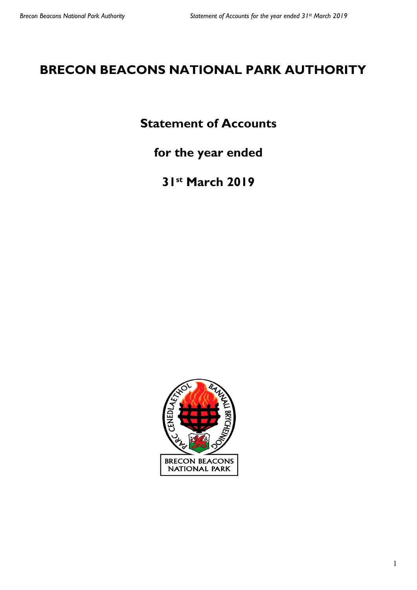# **BRECON BEACONS NATIONAL PARK AUTHORITY**

# **Statement of Accounts**

**for the year ended**

**31st March 2019**

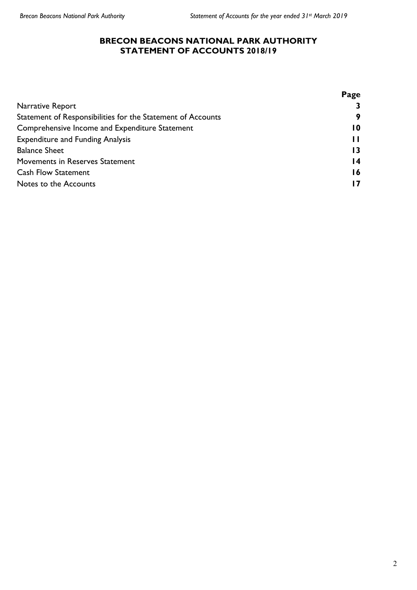#### **BRECON BEACONS NATIONAL PARK AUTHORITY STATEMENT OF ACCOUNTS 2018/19**

|                                                             | Page |
|-------------------------------------------------------------|------|
| Narrative Report                                            |      |
| Statement of Responsibilities for the Statement of Accounts | 9    |
| Comprehensive Income and Expenditure Statement              | 10   |
| <b>Expenditure and Funding Analysis</b>                     |      |
| <b>Balance Sheet</b>                                        |      |
| Movements in Reserves Statement                             | 14   |
| <b>Cash Flow Statement</b>                                  | 16   |
| Notes to the Accounts                                       |      |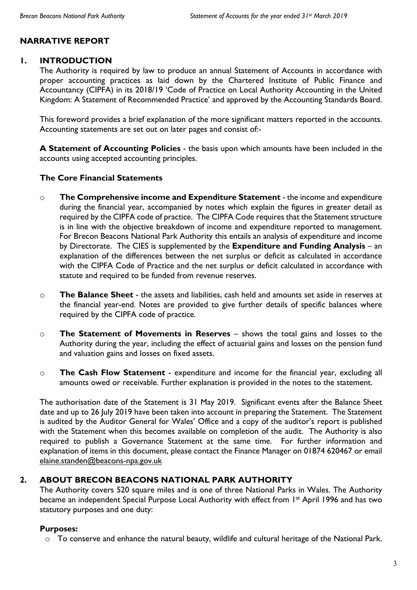## **NARRATIVE REPORT**

## **1. INTRODUCTION**

The Authority is required by law to produce an annual Statement of Accounts in accordance with proper accounting practices as laid down by the Chartered Institute of Public Finance and Accountancy (CIPFA) in its 2018/19 'Code of Practice on Local Authority Accounting in the United Kingdom: A Statement of Recommended Practice' and approved by the Accounting Standards Board.

This foreword provides a brief explanation of the more significant matters reported in the accounts. Accounting statements are set out on later pages and consist of:-

**A Statement of Accounting Policies** - the basis upon which amounts have been included in the accounts using accepted accounting principles.

#### **The Core Financial Statements**

- o **The Comprehensive income and Expenditure Statement** the income and expenditure during the financial year, accompanied by notes which explain the figures in greater detail as required by the CIPFA code of practice. The CIPFA Code requires that the Statement structure is in line with the objective breakdown of income and expenditure reported to management. For Brecon Beacons National Park Authority this entails an analysis of expenditure and income by Directorate. The CIES is supplemented by the **Expenditure and Funding Analysis** – an explanation of the differences between the net surplus or deficit as calculated in accordance with the CIPFA Code of Practice and the net surplus or deficit calculated in accordance with statute and required to be funded from revenue reserves.
- o **The Balance Sheet** the assets and liabilities, cash held and amounts set aside in reserves at the financial year-end. Notes are provided to give further details of specific balances where required by the CIPFA code of practice.
- o **The Statement of Movements in Reserves** shows the total gains and losses to the Authority during the year, including the effect of actuarial gains and losses on the pension fund and valuation gains and losses on fixed assets.
- o **The Cash Flow Statement** expenditure and income for the financial year, excluding all amounts owed or receivable. Further explanation is provided in the notes to the statement.

The authorisation date of the Statement is 31 May 2019. Significant events after the Balance Sheet date and up to 26 July 2019 have been taken into account in preparing the Statement. The Statement is audited by the Auditor General for Wales' Office and a copy of the auditor's report is published with the Statement when this becomes available on completion of the audit. The Authority is also required to publish a Governance Statement at the same time. For further information and explanation of items in this document, please contact the Finance Manager on 01874 620467 or email [elaine.standen@beacons-npa.gov.uk](mailto:elaine.standen@beacons-npa.gov.uk)

## **2. ABOUT BRECON BEACONS NATIONAL PARK AUTHORITY**

The Authority covers 520 square miles and is one of three National Parks in Wales. The Authority became an independent Special Purpose Local Authority with effect from 1<sup>st</sup> April 1996 and has two statutory purposes and one duty:

## **Purposes:**

o To conserve and enhance the natural beauty, wildlife and cultural heritage of the National Park.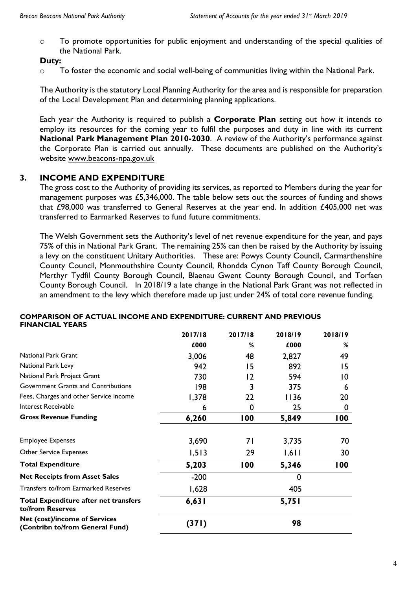o To promote opportunities for public enjoyment and understanding of the special qualities of the National Park.

## **Duty:**

o To foster the economic and social well-being of communities living within the National Park.

The Authority is the statutory Local Planning Authority for the area and is responsible for preparation of the Local Development Plan and determining planning applications.

Each year the Authority is required to publish a **Corporate Plan** setting out how it intends to employ its resources for the coming year to fulfil the purposes and duty in line with its current **National Park Management Plan 2010-2030**. A review of the Authority's performance against the Corporate Plan is carried out annually. These documents are published on the Authority's website [www.beacons-npa.gov.uk](http://www.beacons-npa.gov.uk/)

## **3. INCOME AND EXPENDITURE**

The gross cost to the Authority of providing its services, as reported to Members during the year for management purposes was £5,346,000. The table below sets out the sources of funding and shows that £98,000 was transferred to General Reserves at the year end. In addition £405,000 net was transferred to Earmarked Reserves to fund future commitments.

The Welsh Government sets the Authority's level of net revenue expenditure for the year, and pays 75% of this in National Park Grant. The remaining 25% can then be raised by the Authority by issuing a levy on the constituent Unitary Authorities. These are: Powys County Council, Carmarthenshire County Council, Monmouthshire County Council, Rhondda Cynon Taff County Borough Council, Merthyr Tydfil County Borough Council, Blaenau Gwent County Borough Council, and Torfaen County Borough Council. In 2018/19 a late change in the National Park Grant was not reflected in an amendment to the levy which therefore made up just under 24% of total core revenue funding.

|                                                                         | 2017/18 | 2017/18 | 2018/19     | 2018/19         |
|-------------------------------------------------------------------------|---------|---------|-------------|-----------------|
|                                                                         | £000    | %       | £000        | ℅               |
| <b>National Park Grant</b>                                              | 3,006   | 48      | 2,827       | 49              |
| National Park Levy                                                      | 942     | 15      | 892         | 15              |
| National Park Project Grant                                             | 730     | 12      | 594         | $\overline{10}$ |
| Government Grants and Contributions                                     | 198     | 3       | 375         | 6               |
| Fees, Charges and other Service income                                  | 1,378   | 22      | 1136        | 20              |
| Interest Receivable                                                     | 6       | 0       | 25          | 0               |
| <b>Gross Revenue Funding</b>                                            | 6,260   | 100     | 5,849       | 100             |
| <b>Employee Expenses</b>                                                | 3,690   | 71      | 3,735       | 70              |
| <b>Other Service Expenses</b>                                           | 1,513   | 29      | 1,611       | 30              |
| <b>Total Expenditure</b>                                                | 5,203   | 100     | 5,346       | 100             |
| <b>Net Receipts from Asset Sales</b>                                    | $-200$  |         | $\mathbf 0$ |                 |
| <b>Transfers to/from Earmarked Reserves</b>                             | 1,628   |         | 405         |                 |
| <b>Total Expenditure after net transfers</b><br>to/from Reserves        | 6,631   |         | 5,751       |                 |
| <b>Net (cost)/income of Services</b><br>(Contribn to/from General Fund) | (371)   |         | 98          |                 |

#### **COMPARISON OF ACTUAL INCOME AND EXPENDITURE: CURRENT AND PREVIOUS FINANCIAL YEARS**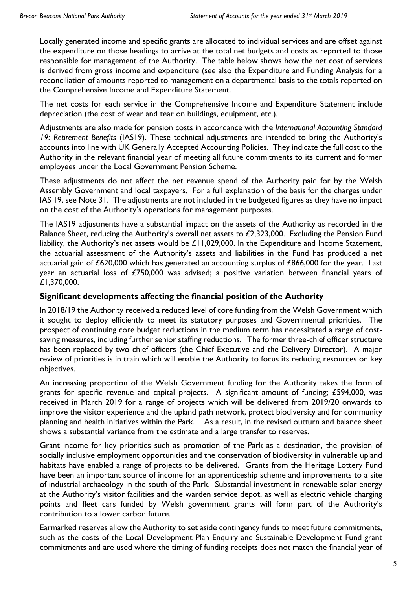Locally generated income and specific grants are allocated to individual services and are offset against the expenditure on those headings to arrive at the total net budgets and costs as reported to those responsible for management of the Authority. The table below shows how the net cost of services is derived from gross income and expenditure (see also the Expenditure and Funding Analysis for a reconciliation of amounts reported to management on a departmental basis to the totals reported on the Comprehensive Income and Expenditure Statement.

The net costs for each service in the Comprehensive Income and Expenditure Statement include depreciation (the cost of wear and tear on buildings, equipment, etc.).

Adjustments are also made for pension costs in accordance with the *International Accounting Standard 19: Retirement Benefits* (IAS19). These technical adjustments are intended to bring the Authority's accounts into line with UK Generally Accepted Accounting Policies. They indicate the full cost to the Authority in the relevant financial year of meeting all future commitments to its current and former employees under the Local Government Pension Scheme.

These adjustments do not affect the net revenue spend of the Authority paid for by the Welsh Assembly Government and local taxpayers. For a full explanation of the basis for the charges under IAS 19, see Note 31. The adjustments are not included in the budgeted figures as they have no impact on the cost of the Authority's operations for management purposes.

The IAS19 adjustments have a substantial impact on the assets of the Authority as recorded in the Balance Sheet, reducing the Authority's overall net assets to £2,323,000. Excluding the Pension Fund liability, the Authority's net assets would be £11,029,000. In the Expenditure and Income Statement, the actuarial assessment of the Authority's assets and liabilities in the Fund has produced a net actuarial gain of £620,000 which has generated an accounting surplus of £866,000 for the year. Last year an actuarial loss of £750,000 was advised; a positive variation between financial years of £1,370,000.

## **Significant developments affecting the financial position of the Authority**

In 2018/19 the Authority received a reduced level of core funding from the Welsh Government which it sought to deploy efficiently to meet its statutory purposes and Governmental priorities. The prospect of continuing core budget reductions in the medium term has necessitated a range of costsaving measures, including further senior staffing reductions. The former three-chief officer structure has been replaced by two chief officers (the Chief Executive and the Delivery Director). A major review of priorities is in train which will enable the Authority to focus its reducing resources on key objectives.

An increasing proportion of the Welsh Government funding for the Authority takes the form of grants for specific revenue and capital projects. A significant amount of funding; £594,000, was received in March 2019 for a range of projects which will be delivered from 2019/20 onwards to improve the visitor experience and the upland path network, protect biodiversity and for community planning and health initiatives within the Park. As a result, in the revised outturn and balance sheet shows a substantial variance from the estimate and a large transfer to reserves.

Grant income for key priorities such as promotion of the Park as a destination, the provision of socially inclusive employment opportunities and the conservation of biodiversity in vulnerable upland habitats have enabled a range of projects to be delivered. Grants from the Heritage Lottery Fund have been an important source of income for an apprenticeship scheme and improvements to a site of industrial archaeology in the south of the Park. Substantial investment in renewable solar energy at the Authority's visitor facilities and the warden service depot, as well as electric vehicle charging points and fleet cars funded by Welsh government grants will form part of the Authority's contribution to a lower carbon future.

Earmarked reserves allow the Authority to set aside contingency funds to meet future commitments, such as the costs of the Local Development Plan Enquiry and Sustainable Development Fund grant commitments and are used where the timing of funding receipts does not match the financial year of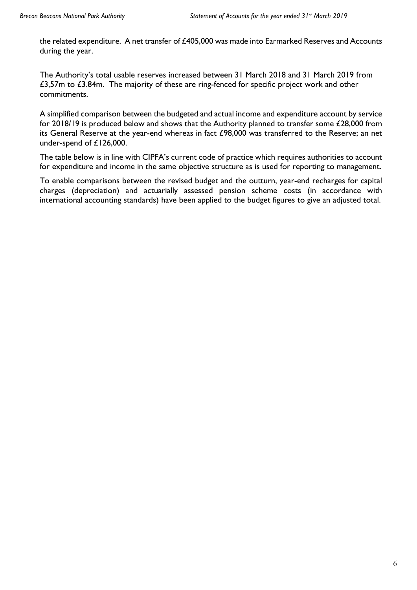the related expenditure. A net transfer of £405,000 was made into Earmarked Reserves and Accounts during the year.

The Authority's total usable reserves increased between 31 March 2018 and 31 March 2019 from £3,57m to £3.84m. The majority of these are ring-fenced for specific project work and other commitments.

A simplified comparison between the budgeted and actual income and expenditure account by service for 2018/19 is produced below and shows that the Authority planned to transfer some £28,000 from its General Reserve at the year-end whereas in fact £98,000 was transferred to the Reserve; an net under-spend of £126,000.

The table below is in line with CIPFA's current code of practice which requires authorities to account for expenditure and income in the same objective structure as is used for reporting to management.

To enable comparisons between the revised budget and the outturn, year-end recharges for capital charges (depreciation) and actuarially assessed pension scheme costs (in accordance with international accounting standards) have been applied to the budget figures to give an adjusted total.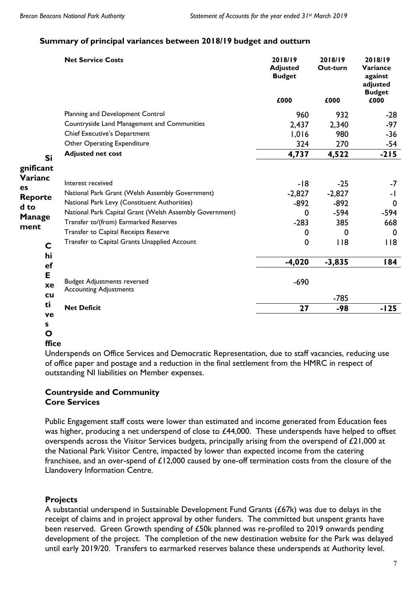## **Summary of principal variances between 2018/19 budget and outturn**

|                | <b>Net Service Costs</b>                                | 2018/19<br><b>Adjusted</b><br><b>Budget</b> | 2018/19<br>Out-turn | 2018/19<br>Variance<br>against<br>adjusted |
|----------------|---------------------------------------------------------|---------------------------------------------|---------------------|--------------------------------------------|
|                |                                                         | £000                                        | £000                | <b>Budget</b><br>£000                      |
|                | Planning and Development Control                        | 960                                         | 932                 | $-28$                                      |
|                | Countryside Land Management and Communities             | 2,437                                       | 2,340               | $-97$                                      |
|                | Chief Executive's Department                            | 1,016                                       | 980                 | $-36$                                      |
|                | Other Operating Expenditure                             | 324                                         | 270                 | -54                                        |
| Si             | <b>Adjusted net cost</b>                                | 4,737                                       | 4,522               | $-215$                                     |
| gnificant      |                                                         |                                             |                     |                                            |
| Varianc        | Interest received                                       | $-18$                                       | $-25$               | $-7$                                       |
| es             | National Park Grant (Welsh Assembly Government)         | $-2,827$                                    | $-2,827$            | -1                                         |
| <b>Reporte</b> | National Park Levy (Constituent Authorities)            | $-892$                                      | $-892$              | $\mathbf 0$                                |
| d to           | National Park Capital Grant (Welsh Assembly Government) | 0                                           | $-594$              | $-594$                                     |
| <b>Manage</b>  | Transfer to/(from) Earmarked Reserves                   | $-283$                                      | 385                 | 668                                        |
| ment           | Transfer to Capital Receipts Reserve                    | 0                                           | $\Omega$            | $\mathbf{0}$                               |
| $\mathbf C$    | Transfer to Capital Grants Unapplied Account            | 0                                           | $ $ $ $ $ $         | 118                                        |
| hi             |                                                         |                                             |                     |                                            |
| ef             |                                                         | $-4,020$                                    | $-3,835$            | 184                                        |
| E              |                                                         |                                             |                     |                                            |
| xe             | <b>Budget Adjustments reversed</b>                      | $-690$                                      |                     |                                            |
| <b>cu</b>      | <b>Accounting Adjustments</b>                           |                                             | $-785$              |                                            |
| ti             |                                                         |                                             | $-98$               | $-125$                                     |
| ve             | <b>Net Deficit</b>                                      | 27                                          |                     |                                            |
| s              |                                                         |                                             |                     |                                            |

#### **ffice**

Underspends on Office Services and Democratic Representation, due to staff vacancies, reducing use of office paper and postage and a reduction in the final settlement from the HMRC in respect of outstanding NI liabilities on Member expenses.

## **Countryside and Community Core Services**

Public Engagement staff costs were lower than estimated and income generated from Education fees was higher, producing a net underspend of close to £44,000. These underspends have helped to offset overspends across the Visitor Services budgets, principally arising from the overspend of £21,000 at the National Park Visitor Centre, impacted by lower than expected income from the catering franchisee, and an over-spend of £12,000 caused by one-off termination costs from the closure of the Llandovery Information Centre.

## **Projects**

A substantial underspend in Sustainable Development Fund Grants (£67k) was due to delays in the receipt of claims and in project approval by other funders. The committed but unspent grants have been reserved. Green Growth spending of £50k planned was re-profiled to 2019 onwards pending development of the project. The completion of the new destination website for the Park was delayed until early 2019/20. Transfers to earmarked reserves balance these underspends at Authority level.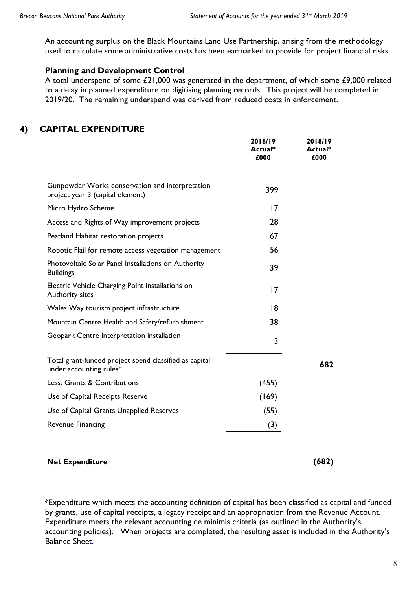An accounting surplus on the Black Mountains Land Use Partnership, arising from the methodology used to calculate some administrative costs has been earmarked to provide for project financial risks.

#### **Planning and Development Control**

A total underspend of some £21,000 was generated in the department, of which some £9,000 related to a delay in planned expenditure on digitising planning records. This project will be completed in 2019/20. The remaining underspend was derived from reduced costs in enforcement.

## **4) CAPITAL EXPENDITURE**

|                                                                                     | 2018/19<br>Actual*<br>£000 | 2018/19<br>Actual*<br>£000 |
|-------------------------------------------------------------------------------------|----------------------------|----------------------------|
| Gunpowder Works conservation and interpretation<br>project year 3 (capital element) | 399                        |                            |
| Micro Hydro Scheme                                                                  | 17                         |                            |
| Access and Rights of Way improvement projects                                       | 28                         |                            |
| Peatland Habitat restoration projects                                               | 67                         |                            |
| Robotic Flail for remote access vegetation management                               | 56                         |                            |
| Photovoltaic Solar Panel Installations on Authority<br><b>Buildings</b>             | 39                         |                            |
| Electric Vehicle Charging Point installations on<br>Authority sites                 | 17                         |                            |
| Wales Way tourism project infrastructure                                            | 8                          |                            |
| Mountain Centre Health and Safety/refurbishment                                     | 38                         |                            |
| Geopark Centre Interpretation installation                                          | 3                          |                            |
| Total grant-funded project spend classified as capital<br>under accounting rules*   |                            | 682                        |
| Less: Grants & Contributions                                                        | (455)                      |                            |
| Use of Capital Receipts Reserve                                                     | (169)                      |                            |
| Use of Capital Grants Unapplied Reserves                                            | (55)                       |                            |
| <b>Revenue Financing</b>                                                            | (3)                        |                            |
| <b>Net Expenditure</b>                                                              |                            | (682)                      |

\*Expenditure which meets the accounting definition of capital has been classified as capital and funded by grants, use of capital receipts, a legacy receipt and an appropriation from the Revenue Account. Expenditure meets the relevant accounting de minimis criteria (as outlined in the Authority's accounting policies). When projects are completed, the resulting asset is included in the Authority's Balance Sheet.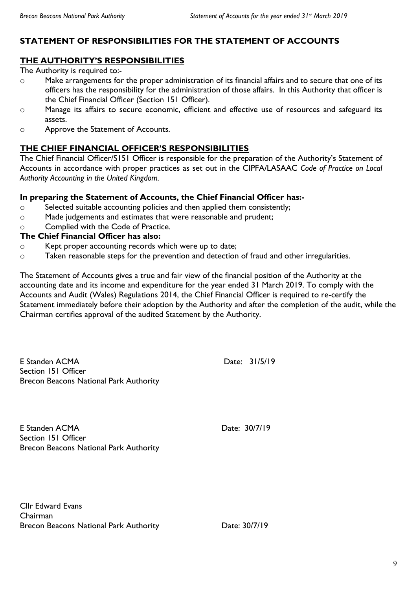## **STATEMENT OF RESPONSIBILITIES FOR THE STATEMENT OF ACCOUNTS**

## **THE AUTHORITY'S RESPONSIBILITIES**

The Authority is required to:-

- o Make arrangements for the proper administration of its financial affairs and to secure that one of its officers has the responsibility for the administration of those affairs. In this Authority that officer is the Chief Financial Officer (Section 151 Officer).
- o Manage its affairs to secure economic, efficient and effective use of resources and safeguard its assets.
- o Approve the Statement of Accounts.

## **THE CHIEF FINANCIAL OFFICER'S RESPONSIBILITIES**

The Chief Financial Officer/S151 Officer is responsible for the preparation of the Authority's Statement of Accounts in accordance with proper practices as set out in the CIPFA/LASAAC *Code of Practice on Local Authority Accounting in the United Kingdom.* 

#### **In preparing the Statement of Accounts, the Chief Financial Officer has:-**

- o Selected suitable accounting policies and then applied them consistently;
- o Made judgements and estimates that were reasonable and prudent;
- o Complied with the Code of Practice.

## **The Chief Financial Officer has also:**

- o Kept proper accounting records which were up to date;
- o Taken reasonable steps for the prevention and detection of fraud and other irregularities.

The Statement of Accounts gives a true and fair view of the financial position of the Authority at the accounting date and its income and expenditure for the year ended 31 March 2019. To comply with the Accounts and Audit (Wales) Regulations 2014, the Chief Financial Officer is required to re-certify the Statement immediately before their adoption by the Authority and after the completion of the audit, while the Chairman certifies approval of the audited Statement by the Authority.

E Standen ACMA Date: 31/5/19 Section 151 Officer Brecon Beacons National Park Authority

E Standen ACMA Date: 30/7/19 Section 151 Officer Brecon Beacons National Park Authority

Cllr Edward Evans Chairman Brecon Beacons National Park Authority **Date: 30/7/19**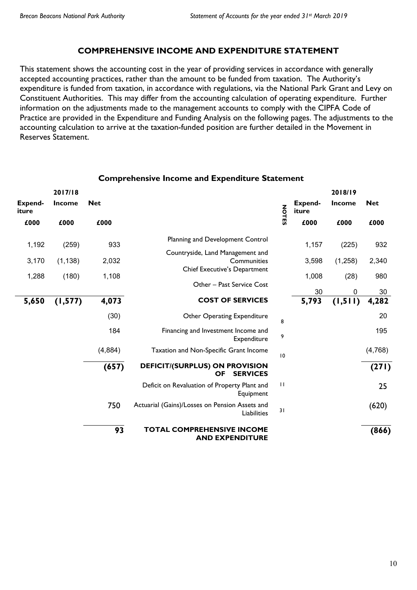## **COMPREHENSIVE INCOME AND EXPENDITURE STATEMENT**

This statement shows the accounting cost in the year of providing services in accordance with generally accepted accounting practices, rather than the amount to be funded from taxation. The Authority's expenditure is funded from taxation, in accordance with regulations, via the National Park Grant and Levy on Constituent Authorities. This may differ from the accounting calculation of operating expenditure. Further information on the adjustments made to the management accounts to comply with the CIPFA Code of Practice are provided in the Expenditure and Funding Analysis on the following pages. The adjustments to the accounting calculation to arrive at the taxation-funded position are further detailed in the Movement in Reserves Statement.

| Expend-<br>iture | 2017/18<br>Income | <b>Net</b> |                                                                      | <b>NOTES</b> | Expend-<br>iture | 2018/19<br>Income       | <b>Net</b>  |
|------------------|-------------------|------------|----------------------------------------------------------------------|--------------|------------------|-------------------------|-------------|
| £000             | £000              | £000       |                                                                      |              | £000             | £000                    | £000        |
| 1,192            | (259)             | 933        | Planning and Development Control<br>Countryside, Land Management and |              | 1,157            | (225)                   | 932         |
| 3,170            | (1, 138)          | 2,032      | Communities                                                          |              | 3,598            | (1,258)                 | 2,340       |
| 1,288            | (180)             | 1,108      | Chief Executive's Department<br>Other - Past Service Cost            |              | 1,008            | (28)                    | 980         |
| 5,650            | (1, 577)          | 4,073      | <b>COST OF SERVICES</b>                                              |              | 30<br>5,793      | $\mathbf 0$<br>(1, 511) | 30<br>4,282 |
|                  |                   | (30)       | Other Operating Expenditure                                          | 8            |                  |                         | 20          |
|                  |                   | 184        | Financing and Investment Income and<br>Expenditure                   | 9            |                  |                         | 195         |
|                  |                   | (4,884)    | Taxation and Non-Specific Grant Income                               | 10           |                  |                         | (4,768)     |
|                  |                   | (657)      | DEFICIT/(SURPLUS) ON PROVISION<br><b>SERVICES</b><br><b>OF</b>       |              |                  |                         | (271)       |
|                  |                   |            | Deficit on Revaluation of Property Plant and<br>Equipment            | $\perp$      |                  |                         | 25          |
|                  |                   | 750        | Actuarial (Gains)/Losses on Pension Assets and<br>Liabilities        | 31           |                  |                         | (620)       |
|                  |                   | 93         | <b>TOTAL COMPREHENSIVE INCOME</b><br><b>AND EXPENDITURE</b>          |              |                  |                         | (866)       |

#### **Comprehensive Income and Expenditure Statement**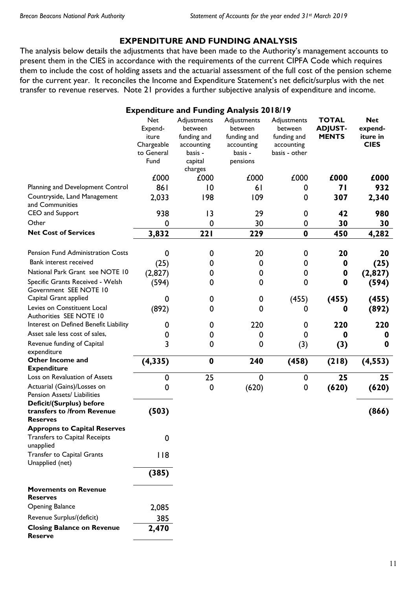## **EXPENDITURE AND FUNDING ANALYSIS**

The analysis below details the adjustments that have been made to the Authority's management accounts to present them in the CIES in accordance with the requirements of the current CIPFA Code which requires them to include the cost of holding assets and the actuarial assessment of the full cost of the pension scheme for the current year. It reconciles the Income and Expenditure Statement's net deficit/surplus with the net transfer to revenue reserves. Note 21 provides a further subjective analysis of expenditure and income.

|                                                                                   |                                                                    |                                                                                      | <b>Expenditure and Funding Analysis 2018/19</b>                            |                                                                      |                                                |                                                  |
|-----------------------------------------------------------------------------------|--------------------------------------------------------------------|--------------------------------------------------------------------------------------|----------------------------------------------------------------------------|----------------------------------------------------------------------|------------------------------------------------|--------------------------------------------------|
|                                                                                   | <b>Net</b><br>Expend-<br>iture<br>Chargeable<br>to General<br>Fund | Adjustments<br>between<br>funding and<br>accounting<br>basis -<br>capital<br>charges | Adjustments<br>between<br>funding and<br>accounting<br>basis -<br>pensions | Adjustments<br>between<br>funding and<br>accounting<br>basis - other | <b>TOTAL</b><br><b>ADJUST-</b><br><b>MENTS</b> | <b>Net</b><br>expend-<br>iture in<br><b>CIES</b> |
|                                                                                   | £000                                                               | £000                                                                                 | £000                                                                       | £000                                                                 | £000                                           | £000                                             |
| Planning and Development Control                                                  | 861                                                                | $ 0\rangle$                                                                          | 61                                                                         | 0                                                                    | 71                                             | 932                                              |
| Countryside, Land Management<br>and Communities                                   | 2,033                                                              | 198                                                                                  | 109                                                                        | 0                                                                    | 307                                            | 2,340                                            |
| CEO and Support                                                                   | 938                                                                | 3                                                                                    | 29                                                                         | 0                                                                    | 42                                             | 980                                              |
| Other                                                                             | 0                                                                  | $\mathbf 0$                                                                          | 30                                                                         | 0                                                                    | 30                                             | 30                                               |
| <b>Net Cost of Services</b>                                                       | 3,832                                                              | 221                                                                                  | 229                                                                        | $\bf{0}$                                                             | 450                                            | 4,282                                            |
| Pension Fund Administration Costs                                                 | $\mathbf 0$                                                        | 0                                                                                    | 20                                                                         | $\mathbf 0$                                                          | 20                                             | 20                                               |
| Bank interest received                                                            | (25)                                                               | 0                                                                                    | 0                                                                          | 0                                                                    | 0                                              | (25)                                             |
| National Park Grant see NOTE 10                                                   | (2, 827)                                                           | 0                                                                                    | 0                                                                          | 0                                                                    | 0                                              | (2,827)                                          |
| Specific Grants Received - Welsh<br>Government SEE NOTE 10                        | (594)                                                              | 0                                                                                    | 0                                                                          | 0                                                                    | 0                                              | (594)                                            |
| Capital Grant applied                                                             | 0                                                                  | 0                                                                                    | $\boldsymbol{0}$                                                           | (455)                                                                | (455)                                          | (455)                                            |
| Levies on Constituent Local<br>Authorities SEE NOTE 10                            | (892)                                                              | 0                                                                                    | 0                                                                          | 0                                                                    | 0                                              | (892)                                            |
| Interest on Defined Benefit Liability                                             | 0                                                                  | 0                                                                                    | 220                                                                        | 0                                                                    | 220                                            | 220                                              |
| Asset sale less cost of sales,                                                    | 0                                                                  | 0                                                                                    | 0                                                                          | 0                                                                    | 0                                              | 0                                                |
| Revenue funding of Capital<br>expenditure                                         | 3                                                                  | 0                                                                                    | 0                                                                          | (3)                                                                  | (3)                                            | 0                                                |
| Other Income and<br><b>Expenditure</b>                                            | (4, 335)                                                           | $\bf{0}$                                                                             | 240                                                                        | (458)                                                                | (218)                                          | (4, 553)                                         |
| Loss on Revaluation of Assets                                                     | $\mathbf 0$                                                        | 25                                                                                   | $\mathbf 0$                                                                | $\mathbf 0$                                                          | 25                                             | 25                                               |
| Actuarial (Gains)/Losses on<br>Pension Assets/ Liabilities                        | 0                                                                  | $\mathbf 0$                                                                          | (620)                                                                      | $\mathbf 0$                                                          | (620)                                          | (620)                                            |
| Deficit/(Surplus) before<br>transfers to /from Revenue<br><b>Reserves</b>         | (503)                                                              |                                                                                      |                                                                            |                                                                      |                                                | (866)                                            |
| <b>Appropns to Capital Reserves</b><br>Transfers to Capital Receipts<br>unapplied | $\mathbf 0$                                                        |                                                                                      |                                                                            |                                                                      |                                                |                                                  |
| Transfer to Capital Grants<br>Unapplied (net)                                     | 118                                                                |                                                                                      |                                                                            |                                                                      |                                                |                                                  |
|                                                                                   | (385)                                                              |                                                                                      |                                                                            |                                                                      |                                                |                                                  |
| <b>Movements on Revenue</b><br><b>Reserves</b>                                    |                                                                    |                                                                                      |                                                                            |                                                                      |                                                |                                                  |
| <b>Opening Balance</b>                                                            | 2,085                                                              |                                                                                      |                                                                            |                                                                      |                                                |                                                  |
| Revenue Surplus/(deficit)                                                         | 385                                                                |                                                                                      |                                                                            |                                                                      |                                                |                                                  |
| <b>Closing Balance on Revenue</b><br><b>Reserve</b>                               | 2,470                                                              |                                                                                      |                                                                            |                                                                      |                                                |                                                  |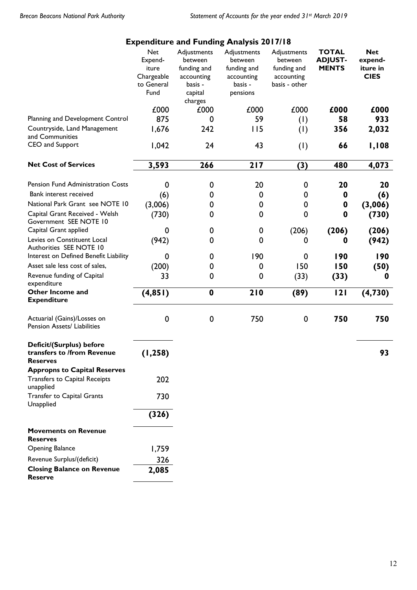|                                                                             |                                                                    |                                                                                      | <b>Expenditure and Funding Analysis 2017/18</b>                            |                                                                      |                                                |                                                  |
|-----------------------------------------------------------------------------|--------------------------------------------------------------------|--------------------------------------------------------------------------------------|----------------------------------------------------------------------------|----------------------------------------------------------------------|------------------------------------------------|--------------------------------------------------|
|                                                                             | <b>Net</b><br>Expend-<br>iture<br>Chargeable<br>to General<br>Fund | Adjustments<br>between<br>funding and<br>accounting<br>basis -<br>capital<br>charges | Adjustments<br>between<br>funding and<br>accounting<br>basis -<br>pensions | Adjustments<br>between<br>funding and<br>accounting<br>basis - other | <b>TOTAL</b><br><b>ADJUST-</b><br><b>MENTS</b> | <b>Net</b><br>expend-<br>iture in<br><b>CIES</b> |
|                                                                             | £000                                                               | £000                                                                                 | £000                                                                       | £000                                                                 | £000                                           | £000                                             |
| Planning and Development Control                                            | 875                                                                | 0                                                                                    | 59                                                                         | (1)                                                                  | 58                                             | 933                                              |
| Countryside, Land Management<br>and Communities                             | 1,676                                                              | 242                                                                                  | 115                                                                        | (1)                                                                  | 356                                            | 2,032                                            |
| CEO and Support                                                             | 1,042                                                              | 24                                                                                   | 43                                                                         | (1)                                                                  | 66                                             | 1,108                                            |
| <b>Net Cost of Services</b>                                                 | 3,593                                                              | 266                                                                                  | $217$                                                                      | (3)                                                                  | 480                                            | 4,073                                            |
| Pension Fund Administration Costs                                           | 0                                                                  | 0                                                                                    | 20                                                                         | 0                                                                    | 20                                             | 20                                               |
| Bank interest received                                                      | (6)                                                                | 0                                                                                    | 0                                                                          | 0                                                                    | 0                                              | (6)                                              |
| National Park Grant see NOTE 10                                             | (3,006)                                                            | 0                                                                                    | 0                                                                          | 0                                                                    | 0                                              | (3,006)                                          |
| Capital Grant Received - Welsh<br>Government SEE NOTE 10                    | (730)                                                              | 0                                                                                    | 0                                                                          | $\mathbf 0$                                                          | 0                                              | (730)                                            |
| Capital Grant applied                                                       | 0                                                                  | 0                                                                                    | 0                                                                          | (206)                                                                | (206)                                          | (206)                                            |
| Levies on Constituent Local<br>Authorities SEE NOTE 10                      | (942)                                                              | 0                                                                                    | 0                                                                          | 0                                                                    | 0                                              | (942)                                            |
| Interest on Defined Benefit Liability                                       | 0                                                                  | 0                                                                                    | 190                                                                        | 0                                                                    | 190                                            | 190                                              |
| Asset sale less cost of sales,                                              | (200)                                                              | 0                                                                                    | 0                                                                          | 150                                                                  | 150                                            | (50)                                             |
| Revenue funding of Capital<br>expenditure                                   | 33                                                                 | 0                                                                                    | 0                                                                          | (33)                                                                 | (33)                                           | 0                                                |
| Other Income and<br><b>Expenditure</b>                                      | (4, 851)                                                           | $\mathbf 0$                                                                          | 210                                                                        | (89)                                                                 | 121                                            | (4, 730)                                         |
| Actuarial (Gains)/Losses on<br>Pension Assets/ Liabilities                  | 0                                                                  | 0                                                                                    | 750                                                                        | 0                                                                    | 750                                            | 750                                              |
| Deficit/(Surplus) before<br>transfers to /from Revenue<br><b>Reserves</b>   | (1, 258)                                                           |                                                                                      |                                                                            |                                                                      |                                                | 93                                               |
| <b>Appropns to Capital Reserves</b><br><b>Transfers to Capital Receipts</b> | 202                                                                |                                                                                      |                                                                            |                                                                      |                                                |                                                  |
| unapplied                                                                   |                                                                    |                                                                                      |                                                                            |                                                                      |                                                |                                                  |
| Transfer to Capital Grants<br>Unapplied                                     | 730                                                                |                                                                                      |                                                                            |                                                                      |                                                |                                                  |
|                                                                             | (326)                                                              |                                                                                      |                                                                            |                                                                      |                                                |                                                  |
| <b>Movements on Revenue</b><br><b>Reserves</b>                              |                                                                    |                                                                                      |                                                                            |                                                                      |                                                |                                                  |
| <b>Opening Balance</b>                                                      | 1,759                                                              |                                                                                      |                                                                            |                                                                      |                                                |                                                  |
| Revenue Surplus/(deficit)                                                   | 326                                                                |                                                                                      |                                                                            |                                                                      |                                                |                                                  |
| <b>Closing Balance on Revenue</b><br><b>Reserve</b>                         | 2,085                                                              |                                                                                      |                                                                            |                                                                      |                                                |                                                  |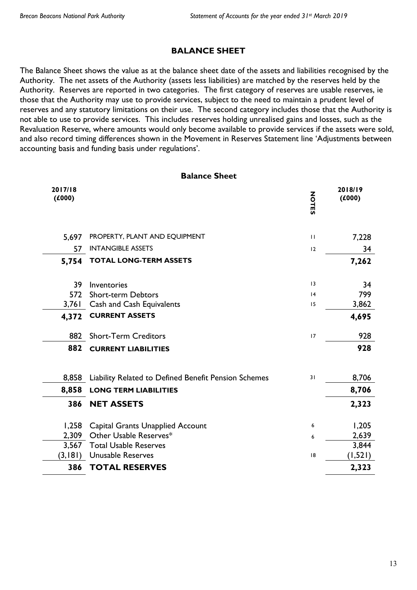## **BALANCE SHEET**

The Balance Sheet shows the value as at the balance sheet date of the assets and liabilities recognised by the Authority. The net assets of the Authority (assets less liabilities) are matched by the reserves held by the Authority. Reserves are reported in two categories. The first category of reserves are usable reserves, ie those that the Authority may use to provide services, subject to the need to maintain a prudent level of reserves and any statutory limitations on their use. The second category includes those that the Authority is not able to use to provide services. This includes reserves holding unrealised gains and losses, such as the Revaluation Reserve, where amounts would only become available to provide services if the assets were sold, and also record timing differences shown in the Movement in Reserves Statement line 'Adjustments between accounting basis and funding basis under regulations'.

#### **Balance Sheet**

| 2017/18<br>(£000) |                                                      | <b>NOTES</b> | 2018/19<br>(£000) |
|-------------------|------------------------------------------------------|--------------|-------------------|
| 5,697             | PROPERTY, PLANT AND EQUIPMENT                        | $\mathbf{H}$ | 7,228             |
| 57                | <b>INTANGIBLE ASSETS</b>                             | 12           | 34                |
| 5,754             | <b>TOTAL LONG-TERM ASSETS</b>                        |              | 7,262             |
| 39                | Inventories                                          | 3            | 34                |
| 572               | <b>Short-term Debtors</b>                            | 4            | 799               |
| 3,761             | Cash and Cash Equivalents                            | 15           | 3,862             |
| 4,372             | <b>CURRENT ASSETS</b>                                |              | 4,695             |
| 882               | <b>Short-Term Creditors</b>                          | 17           | 928               |
| 882               | <b>CURRENT LIABILITIES</b>                           |              | 928               |
| 8,858             | Liability Related to Defined Benefit Pension Schemes | 31           | 8,706             |
| 8,858             | <b>LONG TERM LIABILITIES</b>                         |              | 8,706             |
| 386               | <b>NET ASSETS</b>                                    |              | 2,323             |
| 1,258             | <b>Capital Grants Unapplied Account</b>              | 6            | 1,205             |
| 2,309             | Other Usable Reserves*                               | 6            | 2,639             |
| 3,567             | <b>Total Usable Reserves</b>                         |              | 3,844             |
| (3,181)           | Unusable Reserves                                    | 8            | (1,521)           |
| 386               | <b>TOTAL RESERVES</b>                                |              | 2,323             |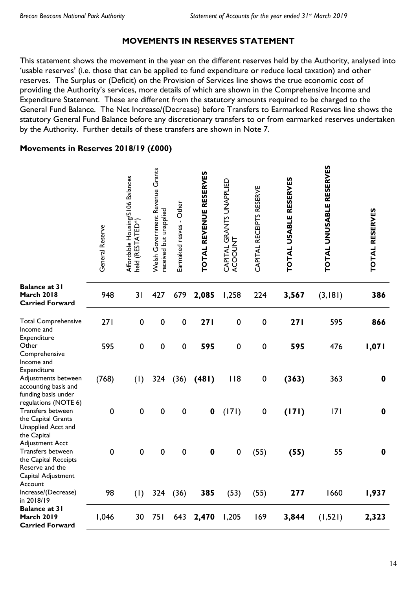ທ.

## **MOVEMENTS IN RESERVES STATEMENT**

This statement shows the movement in the year on the different reserves held by the Authority, analysed into 'usable reserves' (i.e. those that can be applied to fund expenditure or reduce local taxation) and other reserves. The Surplus or (Deficit) on the Provision of Services line shows the true economic cost of providing the Authority's services, more details of which are shown in the Comprehensive Income and Expenditure Statement. These are different from the statutory amounts required to be charged to the General Fund Balance. The Net Increase/(Decrease) before Transfers to Earmarked Reserves line shows the statutory General Fund Balance before any discretionary transfers to or from earmarked reserves undertaken by the Authority. Further details of these transfers are shown in Note 7.

## **Movements in Reserves 2018/19 (£000)**

 $\cdot$ 

|                                                                                                           | General Reserve | Affordable Housing/SI06 Balances<br>held (RESTATED*) | Welsh Government Revenue Grants<br>received but unapplied | Earmaked resves - Other | TOTAL REVENUE RESERVES | CAPITAL GRANTS UNAPPLIED<br>ACOOUNT | CAPITAL RECEIPTS RESERVE | TOTAL USABLE RESERVES | TOTAL UNUSABLE RESERVES | TOTAL RESERVES |
|-----------------------------------------------------------------------------------------------------------|-----------------|------------------------------------------------------|-----------------------------------------------------------|-------------------------|------------------------|-------------------------------------|--------------------------|-----------------------|-------------------------|----------------|
| <b>Balance at 31</b><br><b>March 2018</b><br><b>Carried Forward</b>                                       | 948             | 31                                                   | 427                                                       | 679                     | 2,085                  | 1,258                               | 224                      | 3,567                 | (3, 181)                | 386            |
| <b>Total Comprehensive</b><br>Income and<br>Expenditure                                                   | 271             | $\mathbf 0$                                          | $\mathbf 0$                                               | $\mathbf 0$             | 271                    | $\mathbf 0$                         | $\pmb{0}$                | 271                   | 595                     | 866            |
| Other<br>Comprehensive<br>Income and                                                                      | 595             | $\mathbf 0$                                          | $\mathbf 0$                                               | $\mathbf 0$             | 595                    | $\mathbf 0$                         | $\mathbf 0$              | 595                   | 476                     | 1,071          |
| Expenditure<br>Adjustments between<br>accounting basis and<br>funding basis under<br>regulations (NOTE 6) | (768)           | (1)                                                  | 324                                                       | (36)                    | (481)                  | 118                                 | $\pmb{0}$                | (363)                 | 363                     | $\mathbf 0$    |
| Transfers between<br>the Capital Grants<br>Unapplied Acct and<br>the Capital<br><b>Adjustment Acct</b>    | $\mathbf 0$     | $\mathbf 0$                                          | $\pmb{0}$                                                 | $\mathbf 0$             | $\mathbf 0$            | (171)                               | $\pmb{0}$                | (171)                 | 7                       | $\mathbf 0$    |
| Transfers between<br>the Capital Receipts<br>Reserve and the<br>Capital Adjustment<br>Account             | $\mathbf 0$     | $\mathbf 0$                                          | $\mathbf 0$                                               | $\mathbf 0$             | $\mathbf 0$            | $\mathbf 0$                         | (55)                     | (55)                  | 55                      | $\mathbf 0$    |
| Increase/(Decrease)<br>in 2018/19                                                                         | 98              | (1)                                                  | 324                                                       | (36)                    | 385                    | (53)                                | (55)                     | 277                   | 1660                    | 1,937          |
| <b>Balance at 31</b><br><b>March 2019</b><br><b>Carried Forward</b>                                       | 1,046           | 30                                                   | 751                                                       | 643                     | 2,470                  | 1,205                               | 169                      | 3,844                 | (1, 521)                | 2,323          |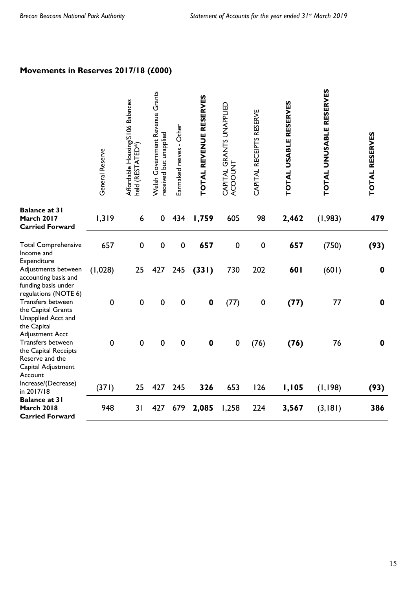## **Movements in Reserves 2017/18 (£000)**

|                                                                                                                         | General Reserve | Affordable Housing/S106 Balances<br>held (RESTATED*) | Welsh Government Revenue Grants<br>received but unapplied | Earmaked resves - Other | TOTAL REVENUE RESERVES | CAPITAL GRANTS UNAPPLIED<br>ACOOUNT | CAPITAL RECEIPTS RESERVE | TOTAL USABLE RESERVES | TOTAL UNUSABLE RESERVES | TOTAL RESERVES   |
|-------------------------------------------------------------------------------------------------------------------------|-----------------|------------------------------------------------------|-----------------------------------------------------------|-------------------------|------------------------|-------------------------------------|--------------------------|-----------------------|-------------------------|------------------|
| <b>Balance at 31</b><br><b>March 2017</b><br><b>Carried Forward</b>                                                     | 1,319           | 6                                                    | 0                                                         | 434                     | 1,759                  | 605                                 | 98                       | 2,462                 | (1, 983)                | 479              |
| <b>Total Comprehensive</b><br>Income and                                                                                | 657             | $\mathbf 0$                                          | $\pmb{0}$                                                 | $\pmb{0}$               | 657                    | $\mathbf 0$                         | $\pmb{0}$                | 657                   | (750)                   | (93)             |
| Expenditure<br>Adjustments between<br>accounting basis and<br>funding basis under                                       | (1,028)         | 25                                                   | 427                                                       | 245                     | (331)                  | 730                                 | 202                      | 601                   | (601)                   | $\mathbf 0$      |
| regulations (NOTE 6)<br>Transfers between<br>the Capital Grants<br>Unapplied Acct and<br>the Capital                    | $\mathbf 0$     | $\mathbf 0$                                          | $\mathbf 0$                                               | $\mathbf 0$             | $\mathbf 0$            | (77)                                | $\pmb{0}$                | (77)                  | 77                      | $\mathbf 0$      |
| <b>Adjustment Acct</b><br>Transfers between<br>the Capital Receipts<br>Reserve and the<br>Capital Adjustment<br>Account | $\mathbf 0$     | $\mathbf 0$                                          | 0                                                         | $\mathbf 0$             | $\mathbf 0$            | $\pmb{0}$                           | (76)                     | (76)                  | 76                      | $\boldsymbol{0}$ |
| Increase/(Decrease)<br>in 2017/18                                                                                       | (371)           | 25                                                   | 427                                                       | 245                     | 326                    | 653                                 | 126                      | 1,105                 | (1, 198)                | (93)             |
| <b>Balance at 31</b><br><b>March 2018</b><br><b>Carried Forward</b>                                                     | 948             | 31                                                   | 427                                                       | 679                     | 2,085                  | 1,258                               | 224                      | 3,567                 | (3, 181)                | 386              |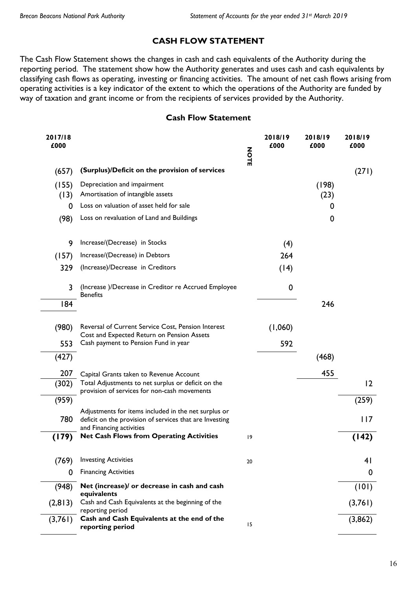## **CASH FLOW STATEMENT**

The Cash Flow Statement shows the changes in cash and cash equivalents of the Authority during the reporting period. The statement show how the Authority generates and uses cash and cash equivalents by classifying cash flows as operating, investing or financing activities. The amount of net cash flows arising from operating activities is a key indicator of the extent to which the operations of the Authority are funded by way of taxation and grant income or from the recipients of services provided by the Authority.

#### **Cash Flow Statement**

| 2017/18<br>£000 |                                                                                                                                             | NOTE | 2018/19<br>£000 | 2018/19<br>£000 | 2018/19<br>£000 |
|-----------------|---------------------------------------------------------------------------------------------------------------------------------------------|------|-----------------|-----------------|-----------------|
| (657)           | (Surplus)/Deficit on the provision of services                                                                                              |      |                 |                 | (271)           |
| (155)<br>(13)   | Depreciation and impairment<br>Amortisation of intangible assets                                                                            |      |                 | (198)<br>(23)   |                 |
| 0               | Loss on valuation of asset held for sale                                                                                                    |      |                 | 0               |                 |
| (98)            | Loss on revaluation of Land and Buildings                                                                                                   |      |                 | 0               |                 |
| 9               | Increase/(Decrease) in Stocks                                                                                                               |      | (4)             |                 |                 |
| (157)           | Increase/(Decrease) in Debtors                                                                                                              |      | 264             |                 |                 |
| 329             | (Increase)/Decrease in Creditors                                                                                                            |      | (14)            |                 |                 |
| 3               | (Increase)/Decrease in Creditor re Accrued Employee<br><b>Benefits</b>                                                                      |      | 0               |                 |                 |
| 184             |                                                                                                                                             |      |                 | 246             |                 |
| (980)           | Reversal of Current Service Cost, Pension Interest<br>Cost and Expected Return on Pension Assets                                            |      | (1,060)         |                 |                 |
| 553             | Cash payment to Pension Fund in year                                                                                                        |      | 592             |                 |                 |
| (427)           |                                                                                                                                             |      |                 | (468)           |                 |
| 207             | Capital Grants taken to Revenue Account                                                                                                     |      |                 | 455             |                 |
| (302)           | Total Adjustments to net surplus or deficit on the<br>provision of services for non-cash movements                                          |      |                 |                 | 12              |
| (959)           |                                                                                                                                             |      |                 |                 | (259)           |
| 780             | Adjustments for items included in the net surplus or<br>deficit on the provision of services that are Investing<br>and Financing activities |      |                 |                 | 117             |
| (179)           | <b>Net Cash Flows from Operating Activities</b>                                                                                             | 9    |                 |                 | (142)           |
| (769)           | <b>Investing Activities</b>                                                                                                                 | 20   |                 |                 | 41              |
| 0               | <b>Financing Activities</b>                                                                                                                 |      |                 |                 | $\mathbf 0$     |
| (948)           | Net (increase)/ or decrease in cash and cash<br>equivalents                                                                                 |      |                 |                 | (101)           |
| (2, 813)        | Cash and Cash Equivalents at the beginning of the<br>reporting period                                                                       |      |                 |                 | (3,761)         |
| (3,761)         | Cash and Cash Equivalents at the end of the<br>reporting period                                                                             | 15   |                 |                 | (3,862)         |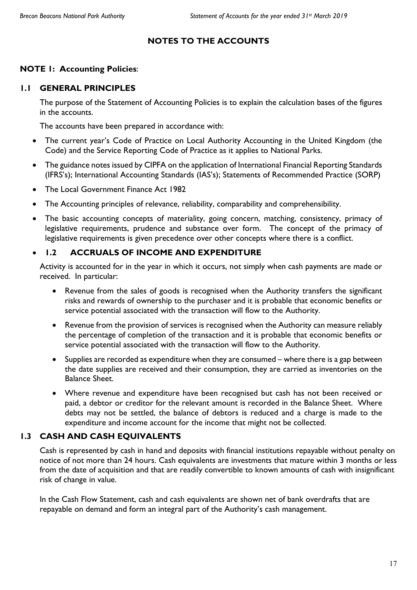## **NOTES TO THE ACCOUNTS**

## **NOTE 1: Accounting Policies**:

## **1.1 GENERAL PRINCIPLES**

The purpose of the Statement of Accounting Policies is to explain the calculation bases of the figures in the accounts.

The accounts have been prepared in accordance with:

- The current year's Code of Practice on Local Authority Accounting in the United Kingdom (the Code) and the Service Reporting Code of Practice as it applies to National Parks.
- The guidance notes issued by CIPFA on the application of International Financial Reporting Standards (IFRS's); International Accounting Standards (IAS's); Statements of Recommended Practice (SORP)
- The Local Government Finance Act 1982
- The Accounting principles of relevance, reliability, comparability and comprehensibility.
- The basic accounting concepts of materiality, going concern, matching, consistency, primacy of legislative requirements, prudence and substance over form. The concept of the primacy of legislative requirements is given precedence over other concepts where there is a conflict.

## **1.2 ACCRUALS OF INCOME AND EXPENDITURE**

Activity is accounted for in the year in which it occurs, not simply when cash payments are made or received. In particular:

- Revenue from the sales of goods is recognised when the Authority transfers the significant risks and rewards of ownership to the purchaser and it is probable that economic benefits or service potential associated with the transaction will flow to the Authority.
- Revenue from the provision of services is recognised when the Authority can measure reliably the percentage of completion of the transaction and it is probable that economic benefits or service potential associated with the transaction will flow to the Authority.
- Supplies are recorded as expenditure when they are consumed where there is a gap between the date supplies are received and their consumption, they are carried as inventories on the Balance Sheet.
- Where revenue and expenditure have been recognised but cash has not been received or paid, a debtor or creditor for the relevant amount is recorded in the Balance Sheet. Where debts may not be settled, the balance of debtors is reduced and a charge is made to the expenditure and income account for the income that might not be collected.

## **1.3 CASH AND CASH EQUIVALENTS**

Cash is represented by cash in hand and deposits with financial institutions repayable without penalty on notice of not more than 24 hours. Cash equivalents are investments that mature within 3 months or less from the date of acquisition and that are readily convertible to known amounts of cash with insignificant risk of change in value.

In the Cash Flow Statement, cash and cash equivalents are shown net of bank overdrafts that are repayable on demand and form an integral part of the Authority's cash management.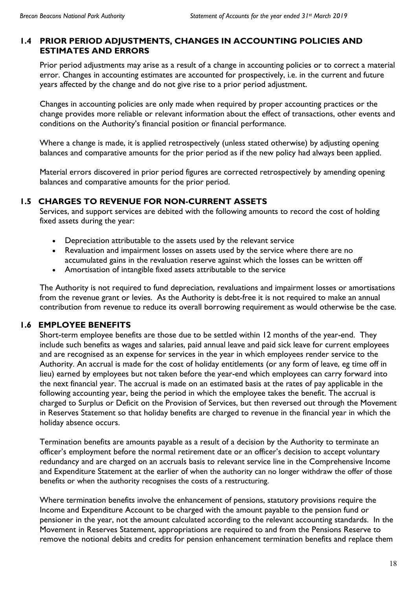## **1.4 PRIOR PERIOD ADJUSTMENTS, CHANGES IN ACCOUNTING POLICIES AND ESTIMATES AND ERRORS**

Prior period adjustments may arise as a result of a change in accounting policies or to correct a material error. Changes in accounting estimates are accounted for prospectively, i.e. in the current and future years affected by the change and do not give rise to a prior period adjustment.

Changes in accounting policies are only made when required by proper accounting practices or the change provides more reliable or relevant information about the effect of transactions, other events and conditions on the Authority's financial position or financial performance.

Where a change is made, it is applied retrospectively (unless stated otherwise) by adjusting opening balances and comparative amounts for the prior period as if the new policy had always been applied.

Material errors discovered in prior period figures are corrected retrospectively by amending opening balances and comparative amounts for the prior period.

## **1.5 CHARGES TO REVENUE FOR NON-CURRENT ASSETS**

Services, and support services are debited with the following amounts to record the cost of holding fixed assets during the year:

- Depreciation attributable to the assets used by the relevant service
- Revaluation and impairment losses on assets used by the service where there are no accumulated gains in the revaluation reserve against which the losses can be written off
- Amortisation of intangible fixed assets attributable to the service

The Authority is not required to fund depreciation, revaluations and impairment losses or amortisations from the revenue grant or levies. As the Authority is debt-free it is not required to make an annual contribution from revenue to reduce its overall borrowing requirement as would otherwise be the case.

## **1.6 EMPLOYEE BENEFITS**

Short-term employee benefits are those due to be settled within 12 months of the year-end. They include such benefits as wages and salaries, paid annual leave and paid sick leave for current employees and are recognised as an expense for services in the year in which employees render service to the Authority. An accrual is made for the cost of holiday entitlements (or any form of leave, eg time off in lieu) earned by employees but not taken before the year-end which employees can carry forward into the next financial year. The accrual is made on an estimated basis at the rates of pay applicable in the following accounting year, being the period in which the employee takes the benefit. The accrual is charged to Surplus or Deficit on the Provision of Services, but then reversed out through the Movement in Reserves Statement so that holiday benefits are charged to revenue in the financial year in which the holiday absence occurs.

Termination benefits are amounts payable as a result of a decision by the Authority to terminate an officer's employment before the normal retirement date or an officer's decision to accept voluntary redundancy and are charged on an accruals basis to relevant service line in the Comprehensive Income and Expenditure Statement at the earlier of when the authority can no longer withdraw the offer of those benefits or when the authority recognises the costs of a restructuring.

Where termination benefits involve the enhancement of pensions, statutory provisions require the Income and Expenditure Account to be charged with the amount payable to the pension fund or pensioner in the year, not the amount calculated according to the relevant accounting standards. In the Movement in Reserves Statement, appropriations are required to and from the Pensions Reserve to remove the notional debits and credits for pension enhancement termination benefits and replace them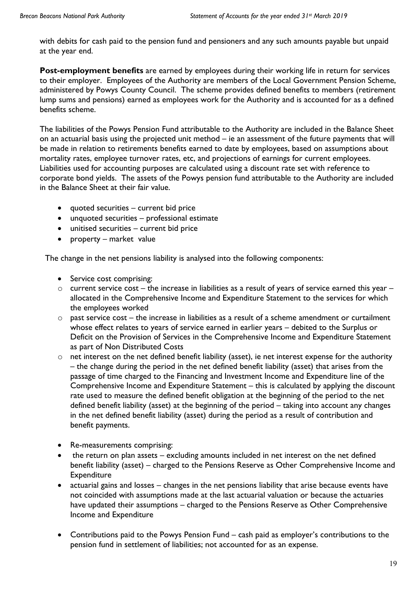with debits for cash paid to the pension fund and pensioners and any such amounts payable but unpaid at the year end.

**Post-employment benefits** are earned by employees during their working life in return for services to their employer. Employees of the Authority are members of the Local Government Pension Scheme, administered by Powys County Council. The scheme provides defined benefits to members (retirement lump sums and pensions) earned as employees work for the Authority and is accounted for as a defined benefits scheme.

The liabilities of the Powys Pension Fund attributable to the Authority are included in the Balance Sheet on an actuarial basis using the projected unit method – ie an assessment of the future payments that will be made in relation to retirements benefits earned to date by employees, based on assumptions about mortality rates, employee turnover rates, etc, and projections of earnings for current employees. Liabilities used for accounting purposes are calculated using a discount rate set with reference to corporate bond yields. The assets of the Powys pension fund attributable to the Authority are included in the Balance Sheet at their fair value.

- quoted securities current bid price
- unquoted securities professional estimate
- unitised securities current bid price
- property market value

The change in the net pensions liability is analysed into the following components:

- Service cost comprising:
- $\circ$  current service cost the increase in liabilities as a result of years of service earned this year allocated in the Comprehensive Income and Expenditure Statement to the services for which the employees worked
- $\circ$  past service cost the increase in liabilities as a result of a scheme amendment or curtailment whose effect relates to years of service earned in earlier years – debited to the Surplus or Deficit on the Provision of Services in the Comprehensive Income and Expenditure Statement as part of Non Distributed Costs
- o net interest on the net defined benefit liability (asset), ie net interest expense for the authority – the change during the period in the net defined benefit liability (asset) that arises from the passage of time charged to the Financing and Investment Income and Expenditure line of the Comprehensive Income and Expenditure Statement – this is calculated by applying the discount rate used to measure the defined benefit obligation at the beginning of the period to the net defined benefit liability (asset) at the beginning of the period – taking into account any changes in the net defined benefit liability (asset) during the period as a result of contribution and benefit payments.
- Re-measurements comprising:
- the return on plan assets excluding amounts included in net interest on the net defined benefit liability (asset) – charged to the Pensions Reserve as Other Comprehensive Income and **Expenditure**
- actuarial gains and losses changes in the net pensions liability that arise because events have not coincided with assumptions made at the last actuarial valuation or because the actuaries have updated their assumptions – charged to the Pensions Reserve as Other Comprehensive Income and Expenditure
- Contributions paid to the Powys Pension Fund cash paid as employer's contributions to the pension fund in settlement of liabilities; not accounted for as an expense.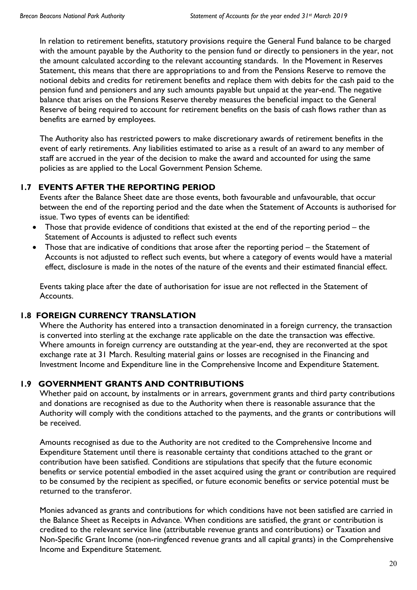In relation to retirement benefits, statutory provisions require the General Fund balance to be charged with the amount payable by the Authority to the pension fund or directly to pensioners in the year, not the amount calculated according to the relevant accounting standards. In the Movement in Reserves Statement, this means that there are appropriations to and from the Pensions Reserve to remove the notional debits and credits for retirement benefits and replace them with debits for the cash paid to the pension fund and pensioners and any such amounts payable but unpaid at the year-end. The negative balance that arises on the Pensions Reserve thereby measures the beneficial impact to the General Reserve of being required to account for retirement benefits on the basis of cash flows rather than as benefits are earned by employees.

The Authority also has restricted powers to make discretionary awards of retirement benefits in the event of early retirements. Any liabilities estimated to arise as a result of an award to any member of staff are accrued in the year of the decision to make the award and accounted for using the same policies as are applied to the Local Government Pension Scheme.

## **1.7 EVENTS AFTER THE REPORTING PERIOD**

Events after the Balance Sheet date are those events, both favourable and unfavourable, that occur between the end of the reporting period and the date when the Statement of Accounts is authorised for issue. Two types of events can be identified:

- Those that provide evidence of conditions that existed at the end of the reporting period the Statement of Accounts is adjusted to reflect such events
- Those that are indicative of conditions that arose after the reporting period the Statement of Accounts is not adjusted to reflect such events, but where a category of events would have a material effect, disclosure is made in the notes of the nature of the events and their estimated financial effect.

Events taking place after the date of authorisation for issue are not reflected in the Statement of Accounts.

## **1.8 FOREIGN CURRENCY TRANSLATION**

Where the Authority has entered into a transaction denominated in a foreign currency, the transaction is converted into sterling at the exchange rate applicable on the date the transaction was effective. Where amounts in foreign currency are outstanding at the year-end, they are reconverted at the spot exchange rate at 31 March. Resulting material gains or losses are recognised in the Financing and Investment Income and Expenditure line in the Comprehensive Income and Expenditure Statement.

## **1.9 GOVERNMENT GRANTS AND CONTRIBUTIONS**

Whether paid on account, by instalments or in arrears, government grants and third party contributions and donations are recognised as due to the Authority when there is reasonable assurance that the Authority will comply with the conditions attached to the payments, and the grants or contributions will be received.

Amounts recognised as due to the Authority are not credited to the Comprehensive Income and Expenditure Statement until there is reasonable certainty that conditions attached to the grant or contribution have been satisfied. Conditions are stipulations that specify that the future economic benefits or service potential embodied in the asset acquired using the grant or contribution are required to be consumed by the recipient as specified, or future economic benefits or service potential must be returned to the transferor.

Monies advanced as grants and contributions for which conditions have not been satisfied are carried in the Balance Sheet as Receipts in Advance. When conditions are satisfied, the grant or contribution is credited to the relevant service line (attributable revenue grants and contributions) or Taxation and Non-Specific Grant Income (non-ringfenced revenue grants and all capital grants) in the Comprehensive Income and Expenditure Statement.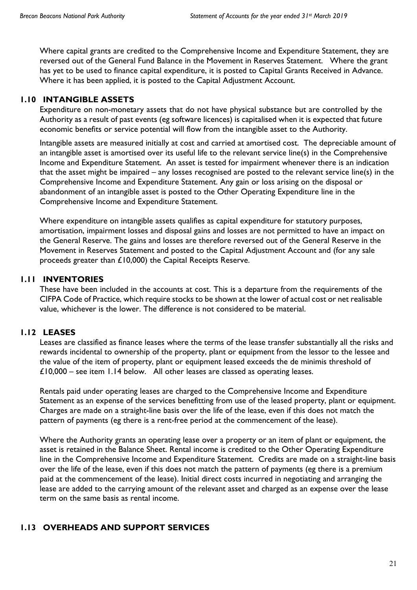Where capital grants are credited to the Comprehensive Income and Expenditure Statement, they are reversed out of the General Fund Balance in the Movement in Reserves Statement. Where the grant has yet to be used to finance capital expenditure, it is posted to Capital Grants Received in Advance. Where it has been applied, it is posted to the Capital Adjustment Account.

## **1.10 INTANGIBLE ASSETS**

Expenditure on non-monetary assets that do not have physical substance but are controlled by the Authority as a result of past events (eg software licences) is capitalised when it is expected that future economic benefits or service potential will flow from the intangible asset to the Authority.

Intangible assets are measured initially at cost and carried at amortised cost. The depreciable amount of an intangible asset is amortised over its useful life to the relevant service line(s) in the Comprehensive Income and Expenditure Statement. An asset is tested for impairment whenever there is an indication that the asset might be impaired – any losses recognised are posted to the relevant service line(s) in the Comprehensive Income and Expenditure Statement. Any gain or loss arising on the disposal or abandonment of an intangible asset is posted to the Other Operating Expenditure line in the Comprehensive Income and Expenditure Statement.

Where expenditure on intangible assets qualifies as capital expenditure for statutory purposes, amortisation, impairment losses and disposal gains and losses are not permitted to have an impact on the General Reserve. The gains and losses are therefore reversed out of the General Reserve in the Movement in Reserves Statement and posted to the Capital Adjustment Account and (for any sale proceeds greater than £10,000) the Capital Receipts Reserve.

## **1.11 INVENTORIES**

These have been included in the accounts at cost. This is a departure from the requirements of the CIFPA Code of Practice, which require stocks to be shown at the lower of actual cost or net realisable value, whichever is the lower. The difference is not considered to be material.

## **1.12 LEASES**

Leases are classified as finance leases where the terms of the lease transfer substantially all the risks and rewards incidental to ownership of the property, plant or equipment from the lessor to the lessee and the value of the item of property, plant or equipment leased exceeds the de minimis threshold of £10,000 – see item 1.14 below. All other leases are classed as operating leases.

Rentals paid under operating leases are charged to the Comprehensive Income and Expenditure Statement as an expense of the services benefitting from use of the leased property, plant or equipment. Charges are made on a straight-line basis over the life of the lease, even if this does not match the pattern of payments (eg there is a rent-free period at the commencement of the lease).

Where the Authority grants an operating lease over a property or an item of plant or equipment, the asset is retained in the Balance Sheet. Rental income is credited to the Other Operating Expenditure line in the Comprehensive Income and Expenditure Statement. Credits are made on a straight-line basis over the life of the lease, even if this does not match the pattern of payments (eg there is a premium paid at the commencement of the lease). Initial direct costs incurred in negotiating and arranging the lease are added to the carrying amount of the relevant asset and charged as an expense over the lease term on the same basis as rental income.

## **1.13 OVERHEADS AND SUPPORT SERVICES**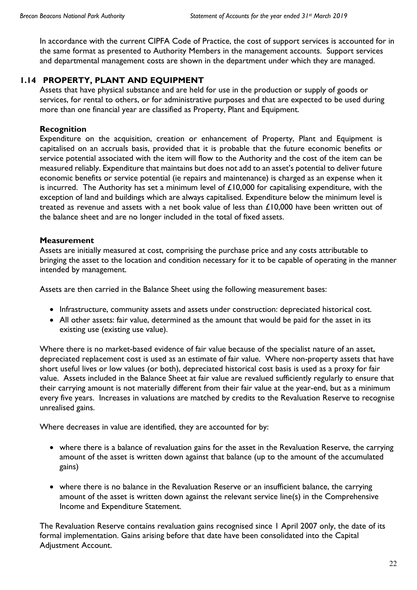In accordance with the current CIPFA Code of Practice, the cost of support services is accounted for in the same format as presented to Authority Members in the management accounts. Support services and departmental management costs are shown in the department under which they are managed.

## **1.14 PROPERTY, PLANT AND EQUIPMENT**

Assets that have physical substance and are held for use in the production or supply of goods or services, for rental to others, or for administrative purposes and that are expected to be used during more than one financial year are classified as Property, Plant and Equipment.

## **Recognition**

Expenditure on the acquisition, creation or enhancement of Property, Plant and Equipment is capitalised on an accruals basis, provided that it is probable that the future economic benefits or service potential associated with the item will flow to the Authority and the cost of the item can be measured reliably. Expenditure that maintains but does not add to an asset's potential to deliver future economic benefits or service potential (ie repairs and maintenance) is charged as an expense when it is incurred. The Authority has set a minimum level of £10,000 for capitalising expenditure, with the exception of land and buildings which are always capitalised. Expenditure below the minimum level is treated as revenue and assets with a net book value of less than  $\pounds$ 10,000 have been written out of the balance sheet and are no longer included in the total of fixed assets.

## **Measurement**

Assets are initially measured at cost, comprising the purchase price and any costs attributable to bringing the asset to the location and condition necessary for it to be capable of operating in the manner intended by management.

Assets are then carried in the Balance Sheet using the following measurement bases:

- Infrastructure, community assets and assets under construction: depreciated historical cost.
- All other assets: fair value, determined as the amount that would be paid for the asset in its existing use (existing use value).

Where there is no market-based evidence of fair value because of the specialist nature of an asset, depreciated replacement cost is used as an estimate of fair value. Where non-property assets that have short useful lives or low values (or both), depreciated historical cost basis is used as a proxy for fair value. Assets included in the Balance Sheet at fair value are revalued sufficiently regularly to ensure that their carrying amount is not materially different from their fair value at the year-end, but as a minimum every five years. Increases in valuations are matched by credits to the Revaluation Reserve to recognise unrealised gains.

Where decreases in value are identified, they are accounted for by:

- where there is a balance of revaluation gains for the asset in the Revaluation Reserve, the carrying amount of the asset is written down against that balance (up to the amount of the accumulated gains)
- where there is no balance in the Revaluation Reserve or an insufficient balance, the carrying amount of the asset is written down against the relevant service line(s) in the Comprehensive Income and Expenditure Statement.

The Revaluation Reserve contains revaluation gains recognised since 1 April 2007 only, the date of its formal implementation. Gains arising before that date have been consolidated into the Capital Adjustment Account.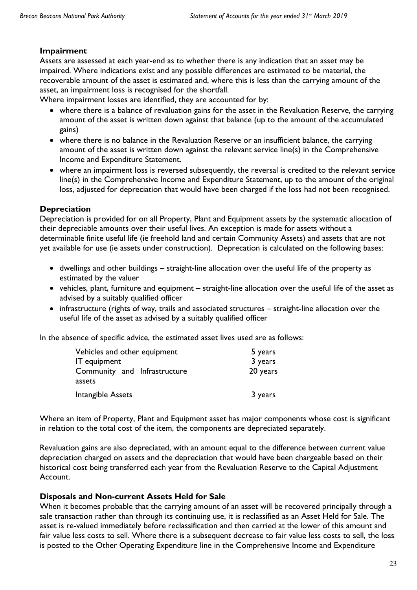## **Impairment**

Assets are assessed at each year-end as to whether there is any indication that an asset may be impaired. Where indications exist and any possible differences are estimated to be material, the recoverable amount of the asset is estimated and, where this is less than the carrying amount of the asset, an impairment loss is recognised for the shortfall.

Where impairment losses are identified, they are accounted for by:

- where there is a balance of revaluation gains for the asset in the Revaluation Reserve, the carrying amount of the asset is written down against that balance (up to the amount of the accumulated gains)
- where there is no balance in the Revaluation Reserve or an insufficient balance, the carrying amount of the asset is written down against the relevant service line(s) in the Comprehensive Income and Expenditure Statement.
- where an impairment loss is reversed subsequently, the reversal is credited to the relevant service line(s) in the Comprehensive Income and Expenditure Statement, up to the amount of the original loss, adjusted for depreciation that would have been charged if the loss had not been recognised.

## **Depreciation**

Depreciation is provided for on all Property, Plant and Equipment assets by the systematic allocation of their depreciable amounts over their useful lives. An exception is made for assets without a determinable finite useful life (ie freehold land and certain Community Assets) and assets that are not yet available for use (ie assets under construction). Deprecation is calculated on the following bases:

- dwellings and other buildings straight-line allocation over the useful life of the property as estimated by the valuer
- vehicles, plant, furniture and equipment straight-line allocation over the useful life of the asset as advised by a suitably qualified officer
- infrastructure (rights of way, trails and associated structures straight-line allocation over the useful life of the asset as advised by a suitably qualified officer

In the absence of specific advice, the estimated asset lives used are as follows:

| Vehicles and other equipment | 5 years  |
|------------------------------|----------|
| <b>IT</b> equipment          | 3 years  |
| Community and Infrastructure | 20 years |
| assets                       |          |
| Intangible Assets            | 3 years  |

Where an item of Property, Plant and Equipment asset has major components whose cost is significant in relation to the total cost of the item, the components are depreciated separately.

Revaluation gains are also depreciated, with an amount equal to the difference between current value depreciation charged on assets and the depreciation that would have been chargeable based on their historical cost being transferred each year from the Revaluation Reserve to the Capital Adjustment Account.

## **Disposals and Non-current Assets Held for Sale**

When it becomes probable that the carrying amount of an asset will be recovered principally through a sale transaction rather than through its continuing use, it is reclassified as an Asset Held for Sale. The asset is re-valued immediately before reclassification and then carried at the lower of this amount and fair value less costs to sell. Where there is a subsequent decrease to fair value less costs to sell, the loss is posted to the Other Operating Expenditure line in the Comprehensive Income and Expenditure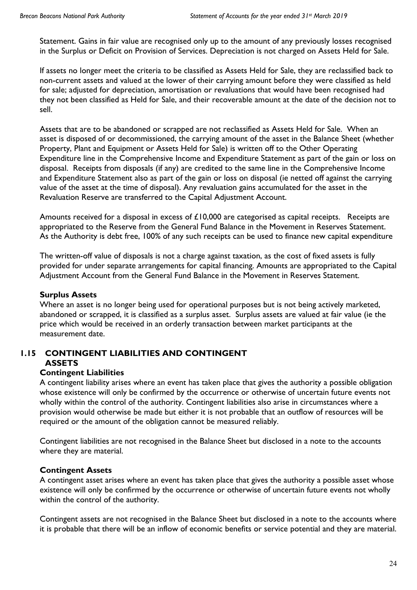Statement. Gains in fair value are recognised only up to the amount of any previously losses recognised in the Surplus or Deficit on Provision of Services. Depreciation is not charged on Assets Held for Sale.

If assets no longer meet the criteria to be classified as Assets Held for Sale, they are reclassified back to non-current assets and valued at the lower of their carrying amount before they were classified as held for sale; adjusted for depreciation, amortisation or revaluations that would have been recognised had they not been classified as Held for Sale, and their recoverable amount at the date of the decision not to sell.

Assets that are to be abandoned or scrapped are not reclassified as Assets Held for Sale. When an asset is disposed of or decommissioned, the carrying amount of the asset in the Balance Sheet (whether Property, Plant and Equipment or Assets Held for Sale) is written off to the Other Operating Expenditure line in the Comprehensive Income and Expenditure Statement as part of the gain or loss on disposal. Receipts from disposals (if any) are credited to the same line in the Comprehensive Income and Expenditure Statement also as part of the gain or loss on disposal (ie netted off against the carrying value of the asset at the time of disposal). Any revaluation gains accumulated for the asset in the Revaluation Reserve are transferred to the Capital Adjustment Account.

Amounts received for a disposal in excess of £10,000 are categorised as capital receipts. Receipts are appropriated to the Reserve from the General Fund Balance in the Movement in Reserves Statement. As the Authority is debt free, 100% of any such receipts can be used to finance new capital expenditure

The written-off value of disposals is not a charge against taxation, as the cost of fixed assets is fully provided for under separate arrangements for capital financing. Amounts are appropriated to the Capital Adjustment Account from the General Fund Balance in the Movement in Reserves Statement.

## **Surplus Assets**

Where an asset is no longer being used for operational purposes but is not being actively marketed, abandoned or scrapped, it is classified as a surplus asset. Surplus assets are valued at fair value (ie the price which would be received in an orderly transaction between market participants at the measurement date.

## **1.15 CONTINGENT LIABILITIES AND CONTINGENT ASSETS**

## **Contingent Liabilities**

A contingent liability arises where an event has taken place that gives the authority a possible obligation whose existence will only be confirmed by the occurrence or otherwise of uncertain future events not wholly within the control of the authority. Contingent liabilities also arise in circumstances where a provision would otherwise be made but either it is not probable that an outflow of resources will be required or the amount of the obligation cannot be measured reliably.

Contingent liabilities are not recognised in the Balance Sheet but disclosed in a note to the accounts where they are material.

## **Contingent Assets**

A contingent asset arises where an event has taken place that gives the authority a possible asset whose existence will only be confirmed by the occurrence or otherwise of uncertain future events not wholly within the control of the authority.

Contingent assets are not recognised in the Balance Sheet but disclosed in a note to the accounts where it is probable that there will be an inflow of economic benefits or service potential and they are material.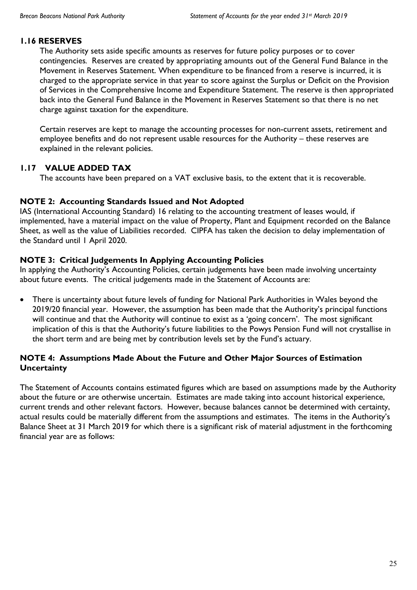### **1.16 RESERVES**

The Authority sets aside specific amounts as reserves for future policy purposes or to cover contingencies*.* Reserves are created by appropriating amounts out of the General Fund Balance in the Movement in Reserves Statement. When expenditure to be financed from a reserve is incurred, it is charged to the appropriate service in that year to score against the Surplus or Deficit on the Provision of Services in the Comprehensive Income and Expenditure Statement. The reserve is then appropriated back into the General Fund Balance in the Movement in Reserves Statement so that there is no net charge against taxation for the expenditure.

Certain reserves are kept to manage the accounting processes for non-current assets, retirement and employee benefits and do not represent usable resources for the Authority – these reserves are explained in the relevant policies.

## **1.17 VALUE ADDED TAX**

The accounts have been prepared on a VAT exclusive basis, to the extent that it is recoverable.

#### **NOTE 2: Accounting Standards Issued and Not Adopted**

IAS (International Accounting Standard) 16 relating to the accounting treatment of leases would, if implemented, have a material impact on the value of Property, Plant and Equipment recorded on the Balance Sheet, as well as the value of Liabilities recorded. CIPFA has taken the decision to delay implementation of the Standard until 1 April 2020.

## **NOTE 3: Critical Judgements In Applying Accounting Policies**

In applying the Authority's Accounting Policies, certain judgements have been made involving uncertainty about future events. The critical judgements made in the Statement of Accounts are:

 There is uncertainty about future levels of funding for National Park Authorities in Wales beyond the 2019/20 financial year. However, the assumption has been made that the Authority's principal functions will continue and that the Authority will continue to exist as a 'going concern'. The most significant implication of this is that the Authority's future liabilities to the Powys Pension Fund will not crystallise in the short term and are being met by contribution levels set by the Fund's actuary.

## **NOTE 4: Assumptions Made About the Future and Other Major Sources of Estimation Uncertainty**

The Statement of Accounts contains estimated figures which are based on assumptions made by the Authority about the future or are otherwise uncertain. Estimates are made taking into account historical experience, current trends and other relevant factors. However, because balances cannot be determined with certainty, actual results could be materially different from the assumptions and estimates. The items in the Authority's Balance Sheet at 31 March 2019 for which there is a significant risk of material adjustment in the forthcoming financial year are as follows: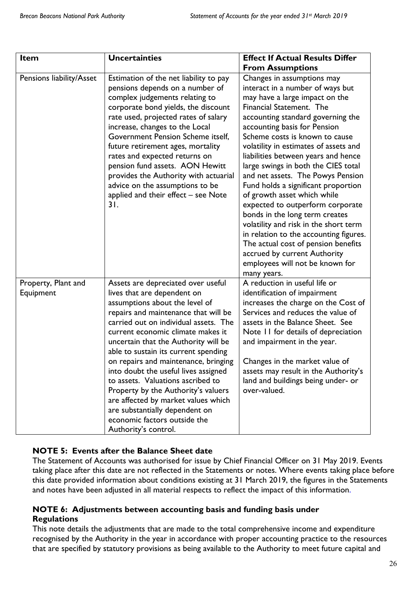| Item                             | <b>Uncertainties</b>                                                                                                                                                                                                                                                                                                                                                                                                                                                                                                                                                                                   | <b>Effect If Actual Results Differ</b>                                                                                                                                                                                                                                                                                                                                                                                                                                                                                                                                                                                                                                                                                                                  |
|----------------------------------|--------------------------------------------------------------------------------------------------------------------------------------------------------------------------------------------------------------------------------------------------------------------------------------------------------------------------------------------------------------------------------------------------------------------------------------------------------------------------------------------------------------------------------------------------------------------------------------------------------|---------------------------------------------------------------------------------------------------------------------------------------------------------------------------------------------------------------------------------------------------------------------------------------------------------------------------------------------------------------------------------------------------------------------------------------------------------------------------------------------------------------------------------------------------------------------------------------------------------------------------------------------------------------------------------------------------------------------------------------------------------|
|                                  |                                                                                                                                                                                                                                                                                                                                                                                                                                                                                                                                                                                                        | <b>From Assumptions</b>                                                                                                                                                                                                                                                                                                                                                                                                                                                                                                                                                                                                                                                                                                                                 |
| Pensions liability/Asset         | Estimation of the net liability to pay<br>pensions depends on a number of<br>complex judgements relating to<br>corporate bond yields, the discount<br>rate used, projected rates of salary<br>increase, changes to the Local<br>Government Pension Scheme itself,<br>future retirement ages, mortality<br>rates and expected returns on<br>pension fund assets. AON Hewitt<br>provides the Authority with actuarial<br>advice on the assumptions to be<br>applied and their effect - see Note<br>31.                                                                                                   | Changes in assumptions may<br>interact in a number of ways but<br>may have a large impact on the<br>Financial Statement. The<br>accounting standard governing the<br>accounting basis for Pension<br>Scheme costs is known to cause<br>volatility in estimates of assets and<br>liabilities between years and hence<br>large swings in both the CIES total<br>and net assets. The Powys Pension<br>Fund holds a significant proportion<br>of growth asset which while<br>expected to outperform corporate<br>bonds in the long term creates<br>volatility and risk in the short term<br>in relation to the accounting figures.<br>The actual cost of pension benefits<br>accrued by current Authority<br>employees will not be known for<br>many years. |
| Property, Plant and<br>Equipment | Assets are depreciated over useful<br>lives that are dependent on<br>assumptions about the level of<br>repairs and maintenance that will be<br>carried out on individual assets. The<br>current economic climate makes it<br>uncertain that the Authority will be<br>able to sustain its current spending<br>on repairs and maintenance, bringing<br>into doubt the useful lives assigned<br>to assets. Valuations ascribed to<br>Property by the Authority's valuers<br>are affected by market values which<br>are substantially dependent on<br>economic factors outside the<br>Authority's control. | A reduction in useful life or<br>identification of impairment<br>increases the charge on the Cost of<br>Services and reduces the value of<br>assets in the Balance Sheet. See<br>Note 11 for details of depreciation<br>and impairment in the year.<br>Changes in the market value of<br>assets may result in the Authority's<br>land and buildings being under- or<br>over-valued.                                                                                                                                                                                                                                                                                                                                                                     |

## **NOTE 5: Events after the Balance Sheet date**

The Statement of Accounts was authorised for issue by Chief Financial Officer on 31 May 2019. Events taking place after this date are not reflected in the Statements or notes. Where events taking place before this date provided information about conditions existing at 31 March 2019, the figures in the Statements and notes have been adjusted in all material respects to reflect the impact of this information.

## **NOTE 6: Adjustments between accounting basis and funding basis under Regulations**

This note details the adjustments that are made to the total comprehensive income and expenditure recognised by the Authority in the year in accordance with proper accounting practice to the resources that are specified by statutory provisions as being available to the Authority to meet future capital and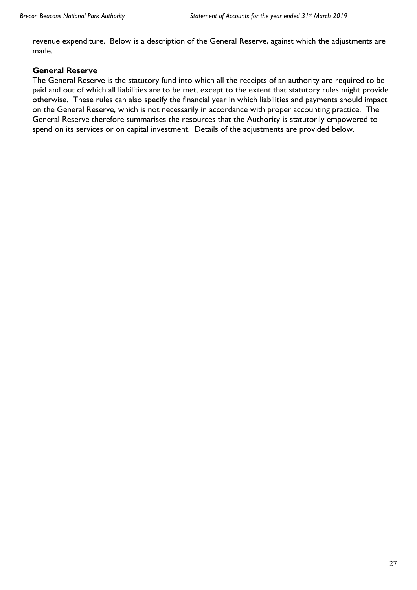revenue expenditure. Below is a description of the General Reserve, against which the adjustments are made.

#### **General Reserve**

The General Reserve is the statutory fund into which all the receipts of an authority are required to be paid and out of which all liabilities are to be met, except to the extent that statutory rules might provide otherwise. These rules can also specify the financial year in which liabilities and payments should impact on the General Reserve, which is not necessarily in accordance with proper accounting practice. The General Reserve therefore summarises the resources that the Authority is statutorily empowered to spend on its services or on capital investment. Details of the adjustments are provided below.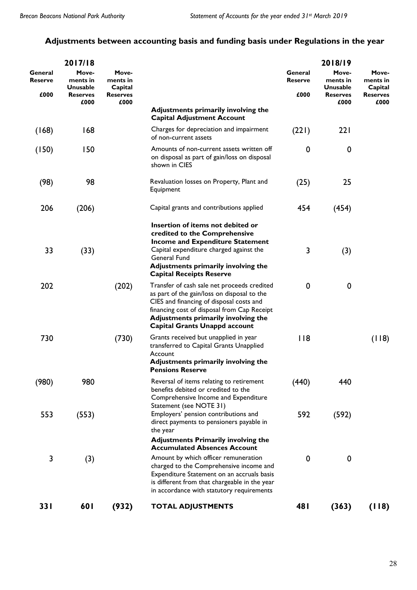## **Adjustments between accounting basis and funding basis under Regulations in the year**

|                    | 2017/18                              |                              |                                                                                                                                                                                                                                                                      |                           | 2018/19                       |                              |
|--------------------|--------------------------------------|------------------------------|----------------------------------------------------------------------------------------------------------------------------------------------------------------------------------------------------------------------------------------------------------------------|---------------------------|-------------------------------|------------------------------|
| General<br>Reserve | Move-<br>ments in<br><b>Unusable</b> | Move-<br>ments in<br>Capital |                                                                                                                                                                                                                                                                      | General<br><b>Reserve</b> | Move-<br>ments in<br>Unusable | Move-<br>ments in<br>Capital |
| £000               | <b>Reserves</b><br>£000              | <b>Reserves</b><br>£000      |                                                                                                                                                                                                                                                                      | £000                      | <b>Reserves</b><br>£000       | <b>Reserves</b><br>£000      |
|                    |                                      |                              | Adjustments primarily involving the<br><b>Capital Adjustment Account</b>                                                                                                                                                                                             |                           |                               |                              |
| (168)              | 168                                  |                              | Charges for depreciation and impairment<br>of non-current assets                                                                                                                                                                                                     | (221)                     | 221                           |                              |
| (150)              | 150                                  |                              | Amounts of non-current assets written off<br>on disposal as part of gain/loss on disposal<br>shown in CIES                                                                                                                                                           | 0                         | $\boldsymbol{0}$              |                              |
| (98)               | 98                                   |                              | Revaluation losses on Property, Plant and<br>Equipment                                                                                                                                                                                                               | (25)                      | 25                            |                              |
| 206                | (206)                                |                              | Capital grants and contributions applied                                                                                                                                                                                                                             | 454                       | (454)                         |                              |
| 33                 | (33)                                 |                              | Insertion of items not debited or<br>credited to the Comprehensive<br><b>Income and Expenditure Statement</b><br>Capital expenditure charged against the<br>General Fund<br>Adjustments primarily involving the<br><b>Capital Receipts Reserve</b>                   | 3                         | (3)                           |                              |
| 202                |                                      | (202)                        | Transfer of cash sale net proceeds credited<br>as part of the gain/loss on disposal to the<br>CIES and financing of disposal costs and<br>financing cost of disposal from Cap Receipt<br>Adjustments primarily involving the<br><b>Capital Grants Unappd account</b> | 0                         | $\boldsymbol{0}$              |                              |
| 730                |                                      | (730)                        | Grants received but unapplied in year<br>transferred to Capital Grants Unapplied<br>Account<br>Adjustments primarily involving the<br><b>Pensions Reserve</b>                                                                                                        | 118                       |                               | (118)                        |
| (980)              | 980                                  |                              | Reversal of items relating to retirement<br>benefits debited or credited to the<br>Comprehensive Income and Expenditure<br>Statement (see NOTE 31)                                                                                                                   | (440)                     | 440                           |                              |
| 553                | (553)                                |                              | Employers' pension contributions and<br>direct payments to pensioners payable in<br>the year<br><b>Adjustments Primarily involving the</b>                                                                                                                           | 592                       | (592)                         |                              |
|                    |                                      |                              | <b>Accumulated Absences Account</b>                                                                                                                                                                                                                                  |                           |                               |                              |
| 3                  | (3)                                  |                              | Amount by which officer remuneration<br>charged to the Comprehensive income and<br>Expenditure Statement on an accruals basis<br>is different from that chargeable in the year<br>in accordance with statutory requirements                                          | 0                         | $\boldsymbol{0}$              |                              |
| <b>331</b>         | 601                                  | (932)                        | <b>TOTAL ADJUSTMENTS</b>                                                                                                                                                                                                                                             | 48 I                      | (363)                         | (118)                        |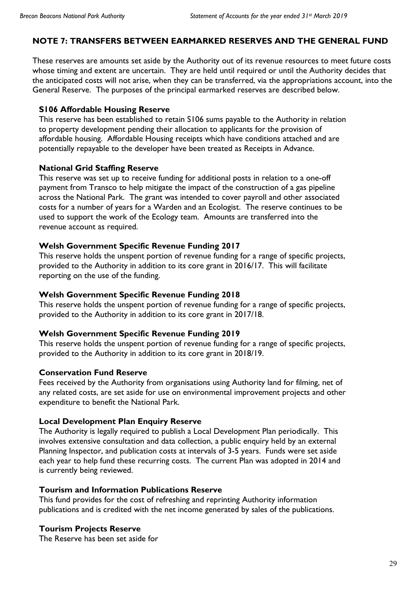### **NOTE 7: TRANSFERS BETWEEN EARMARKED RESERVES AND THE GENERAL FUND**

These reserves are amounts set aside by the Authority out of its revenue resources to meet future costs whose timing and extent are uncertain. They are held until required or until the Authority decides that the anticipated costs will not arise, when they can be transferred, via the appropriations account, into the General Reserve. The purposes of the principal earmarked reserves are described below.

#### **S106 Affordable Housing Reserve**

This reserve has been established to retain S106 sums payable to the Authority in relation to property development pending their allocation to applicants for the provision of affordable housing. Affordable Housing receipts which have conditions attached and are potentially repayable to the developer have been treated as Receipts in Advance.

#### **National Grid Staffing Reserve**

This reserve was set up to receive funding for additional posts in relation to a one-off payment from Transco to help mitigate the impact of the construction of a gas pipeline across the National Park. The grant was intended to cover payroll and other associated costs for a number of years for a Warden and an Ecologist. The reserve continues to be used to support the work of the Ecology team. Amounts are transferred into the revenue account as required.

#### **Welsh Government Specific Revenue Funding 2017**

This reserve holds the unspent portion of revenue funding for a range of specific projects, provided to the Authority in addition to its core grant in 2016/17. This will facilitate reporting on the use of the funding.

#### **Welsh Government Specific Revenue Funding 2018**

This reserve holds the unspent portion of revenue funding for a range of specific projects, provided to the Authority in addition to its core grant in 2017/18.

#### **Welsh Government Specific Revenue Funding 2019**

This reserve holds the unspent portion of revenue funding for a range of specific projects, provided to the Authority in addition to its core grant in 2018/19.

#### **Conservation Fund Reserve**

Fees received by the Authority from organisations using Authority land for filming, net of any related costs, are set aside for use on environmental improvement projects and other expenditure to benefit the National Park.

#### **Local Development Plan Enquiry Reserve**

The Authority is legally required to publish a Local Development Plan periodically. This involves extensive consultation and data collection, a public enquiry held by an external Planning Inspector, and publication costs at intervals of 3-5 years. Funds were set aside each year to help fund these recurring costs. The current Plan was adopted in 2014 and is currently being reviewed.

#### **Tourism and Information Publications Reserve**

This fund provides for the cost of refreshing and reprinting Authority information publications and is credited with the net income generated by sales of the publications.

#### **Tourism Projects Reserve**

The Reserve has been set aside for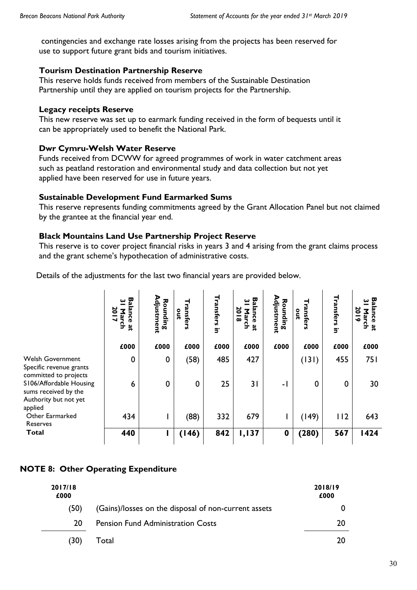contingencies and exchange rate losses arising from the projects has been reserved for use to support future grant bids and tourism initiatives.

## **Tourism Destination Partnership Reserve**

This reserve holds funds received from members of the Sustainable Destination Partnership until they are applied on tourism projects for the Partnership.

## **Legacy receipts Reserve**

This new reserve was set up to earmark funding received in the form of bequests until it can be appropriately used to benefit the National Park.

## **Dwr Cymru-Welsh Water Reserve**

Funds received from DCWW for agreed programmes of work in water catchment areas such as peatland restoration and environmental study and data collection but not yet applied have been reserved for use in future years.

## **Sustainable Development Fund Earmarked Sums**

This reserve represents funding commitments agreed by the Grant Allocation Panel but not claimed by the grantee at the financial year end.

## **Black Mountains Land Use Partnership Project Reserve**

This reserve is to cover project financial risks in years 3 and 4 arising from the grant claims process and the grant scheme's hypothecation of administrative costs.

Details of the adjustments for the last two financial years are provided below.

|                                                                                     | Вã<br>س<br>20<br>ance<br>┙<br><u>수</u><br>ά | Adjustment<br>Rounding | Transfers<br>out | <b>Transfers in</b> | 5g<br>ఠ<br>g<br>arch<br>ā<br>$\bullet$<br>٩P | Rounding<br>djustment | ransfers<br>out | Transfers<br>$\overline{5}$ | 53<br>50<br>۳<br>ā<br>arch<br>$\bullet$<br>ă |
|-------------------------------------------------------------------------------------|---------------------------------------------|------------------------|------------------|---------------------|----------------------------------------------|-----------------------|-----------------|-----------------------------|----------------------------------------------|
|                                                                                     | £000                                        | £000                   | £000             | £000                | £000                                         | £000                  | £000            | £000                        | £000                                         |
| <b>Welsh Government</b><br>Specific revenue grants<br>committed to projects         | $\mathbf 0$                                 | $\mathbf 0$            | (58)             | 485                 | 427                                          |                       | (131)           | 455                         | 751                                          |
| S106/Affordable Housing<br>sums received by the<br>Authority but not yet<br>applied | 6                                           | $\mathbf 0$            | 0                | 25                  | 31                                           | - 1                   | $\Omega$        | $\mathbf 0$                 | 30                                           |
| Other Earmarked<br>Reserves                                                         | 434                                         |                        | (88)             | 332                 | 679                                          |                       | (149)           | 112                         | 643                                          |
| <b>Total</b>                                                                        | 440                                         |                        | (146)            | 842                 | 1,137                                        | 0                     | (280)           | 567                         | 1424                                         |

## **NOTE 8: Other Operating Expenditure**

| 2017/18<br>£000 |                                                      | 2018/19<br>£000 |
|-----------------|------------------------------------------------------|-----------------|
| (50)            | (Gains)/losses on the disposal of non-current assets |                 |
| 20              | <b>Pension Fund Administration Costs</b>             | 20              |
| (30)            | Total                                                | 20              |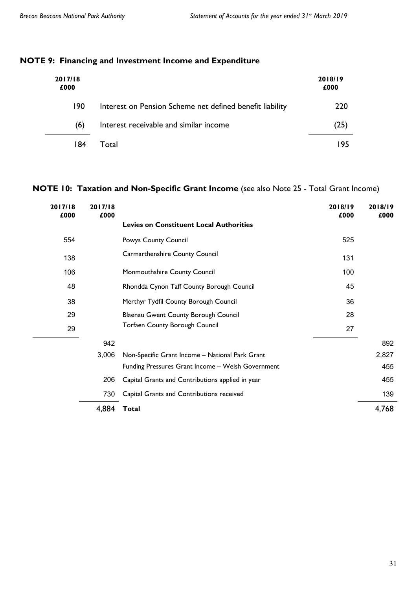## **NOTE 9: Financing and Investment Income and Expenditure**

| 2017/18<br>£000 |                                                          | 2018/19<br>£000 |
|-----------------|----------------------------------------------------------|-----------------|
| 190             | Interest on Pension Scheme net defined benefit liability | 220             |
| (6)             | Interest receivable and similar income                   | 25              |
| 184             | Total                                                    | -95             |

## **NOTE 10: Taxation and Non-Specific Grant Income** (see also Note 25 - Total Grant Income)

| 2017/18<br>£000 | 2017/18<br>£000 |                                                   | 2018/19<br>£000 | 2018/19<br>£000 |
|-----------------|-----------------|---------------------------------------------------|-----------------|-----------------|
|                 |                 | <b>Levies on Constituent Local Authorities</b>    |                 |                 |
| 554             |                 | Powys County Council                              | 525             |                 |
| 138             |                 | Carmarthenshire County Council                    | 131             |                 |
| 106             |                 | Monmouthshire County Council                      | 100             |                 |
| 48              |                 | Rhondda Cynon Taff County Borough Council         | 45              |                 |
| 38              |                 | Merthyr Tydfil County Borough Council             | 36              |                 |
| 29              |                 | Blaenau Gwent County Borough Council              | 28              |                 |
| 29              |                 | <b>Torfaen County Borough Council</b>             | 27              |                 |
|                 | 942             |                                                   |                 | 892             |
|                 | 3,006           | Non-Specific Grant Income - National Park Grant   |                 | 2,827           |
|                 |                 | Funding Pressures Grant Income - Welsh Government |                 | 455             |
|                 | 206             | Capital Grants and Contributions applied in year  |                 | 455             |
|                 | 730             | Capital Grants and Contributions received         |                 | 139             |
|                 | 4,884           | <b>Total</b>                                      |                 | 4,768           |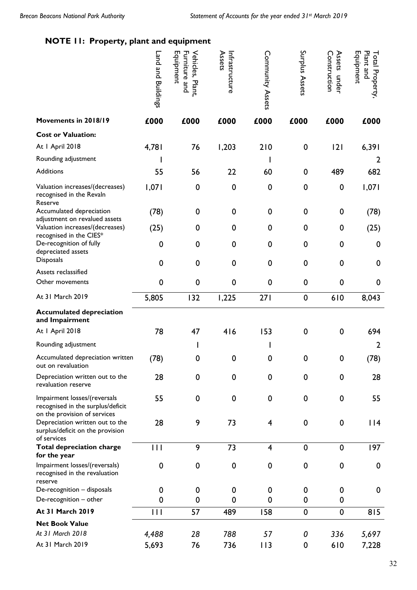## **NOTE 11: Property, plant and equipment**

|                                                                                                   | Land and Buildings | Equipment<br>Furniture and<br>Vehicles, Plant, | Assets<br>Infrastructure | Community Assets        | Surplus Assets   | Assets<br>Construction<br>under | Equipment<br>Plant and<br>Total<br>Property, |
|---------------------------------------------------------------------------------------------------|--------------------|------------------------------------------------|--------------------------|-------------------------|------------------|---------------------------------|----------------------------------------------|
| Movements in 2018/19                                                                              | £000               | £000                                           | £000                     | £000                    | £000             | £000                            | £000                                         |
| <b>Cost or Valuation:</b>                                                                         |                    |                                                |                          |                         |                  |                                 |                                              |
| At I April 2018                                                                                   | 4,781              | 76                                             | 1,203                    | 210                     | $\boldsymbol{0}$ | 2                               | 6,391                                        |
| Rounding adjustment                                                                               |                    |                                                |                          |                         |                  |                                 | 2                                            |
| Additions                                                                                         | 55                 | 56                                             | 22                       | 60                      | $\boldsymbol{0}$ | 489                             | 682                                          |
| Valuation increases/(decreases)<br>recognised in the Revaln<br>Reserve                            | 1,071              | $\mathbf 0$                                    | $\mathbf 0$              | $\mathbf 0$             | 0                | $\mathbf 0$                     | 1,071                                        |
| Accumulated depreciation<br>adjustment on revalued assets                                         | (78)               | $\mathbf 0$                                    | $\boldsymbol{0}$         | 0                       | 0                | 0                               | (78)                                         |
| Valuation increases/(decreases)<br>recognised in the CIES*                                        | (25)               | 0                                              | $\boldsymbol{0}$         | 0                       | 0                | 0                               | (25)                                         |
| De-recognition of fully<br>depreciated assets                                                     | 0                  | 0                                              | $\mathbf 0$              | $\mathbf 0$             | 0                | $\mathbf 0$                     | 0                                            |
| <b>Disposals</b>                                                                                  | 0                  | $\mathbf 0$                                    | $\mathbf 0$              | $\mathbf 0$             | 0                | $\mathbf 0$                     | 0                                            |
| Assets reclassified                                                                               |                    |                                                |                          |                         |                  |                                 |                                              |
| Other movements                                                                                   | $\mathbf 0$        | $\mathbf 0$                                    | $\mathbf 0$              | $\mathbf 0$             | 0                | $\mathbf 0$                     | 0                                            |
| At 31 March 2019                                                                                  | 5,805              | 132                                            | 1,225                    | 271                     | $\mathbf 0$      | 610                             | 8,043                                        |
| <b>Accumulated depreciation</b><br>and Impairment                                                 |                    |                                                |                          |                         |                  |                                 |                                              |
| At I April 2018                                                                                   | 78                 | 47                                             | 416                      | 153                     | 0                | $\pmb{0}$                       | 694                                          |
| Rounding adjustment                                                                               |                    |                                                |                          |                         |                  |                                 | $\overline{2}$                               |
| Accumulated depreciation written<br>out on revaluation                                            | (78)               | 0                                              | 0                        | 0                       | 0                | $\mathbf 0$                     | (78)                                         |
| Depreciation written out to the<br>revaluation reserve                                            | 28                 | $\mathbf 0$                                    | $\mathbf 0$              | $\mathbf 0$             | $\mathbf 0$      | $\mathbf 0$                     | 28                                           |
| Impairment losses/(reversals<br>recognised in the surplus/deficit<br>on the provision of services | 55                 | $\mathbf 0$                                    | $\mathbf 0$              | $\pmb{0}$               | $\mathbf 0$      | $\mathbf 0$                     | 55                                           |
| Depreciation written out to the<br>surplus/deficit on the provision<br>of services                | 28                 | 9                                              | 73                       | $\overline{\mathbf{4}}$ | $\boldsymbol{0}$ | 0                               | $ $  4                                       |
| <b>Total depreciation charge</b><br>for the year                                                  | $\mathbf{H}$       | 9                                              | 73                       | $\overline{\mathbf{4}}$ | $\mathbf 0$      | $\boldsymbol{0}$                | 197                                          |
| Impairment losses/(reversals)<br>recognised in the revaluation<br>reserve                         | $\mathbf 0$        | $\mathbf 0$                                    | $\mathbf 0$              | $\pmb{0}$               | $\mathbf 0$      | $\mathbf 0$                     | 0                                            |
| De-recognition - disposals<br>De-recognition - other                                              | 0<br>0             | 0<br>0                                         | 0<br>0                   | 0<br>$\mathbf 0$        | 0<br>0           | 0<br>0                          | 0                                            |
| <b>At 31 March 2019</b>                                                                           | 111                | 57                                             | 489                      | 158                     | $\mathbf 0$      | $\mathbf 0$                     | 815                                          |
| <b>Net Book Value</b>                                                                             |                    |                                                |                          |                         |                  |                                 |                                              |
| At 31 March 2018                                                                                  | 4,488              | 28                                             | 788                      | 57                      | 0                | 336                             | 5,697                                        |
| At 31 March 2019                                                                                  | 5,693              | 76                                             | 736                      | 113                     | 0                | 610                             | 7,228                                        |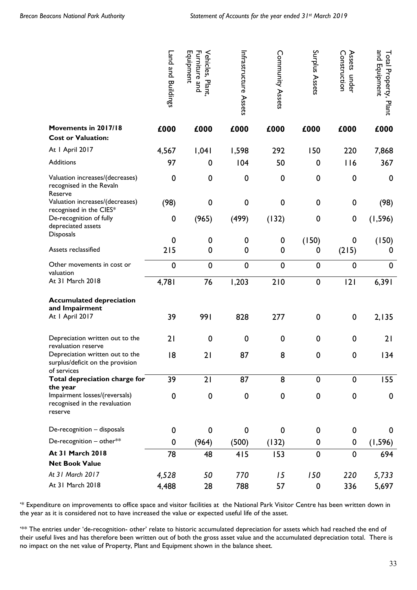|                                                                                    | Land and Buildings | Equipment<br>Furniture and<br>Vehicles,<br>Plant, | Infrastructure Assets | Community Assets | Surplus Assets   | Assets<br>Construction<br>under | and Equipment<br>Total Property, Plant |
|------------------------------------------------------------------------------------|--------------------|---------------------------------------------------|-----------------------|------------------|------------------|---------------------------------|----------------------------------------|
| Movements in 2017/18<br><b>Cost or Valuation:</b>                                  | £000               | £000                                              | £000                  | £000             | £000             | £000                            | £000                                   |
| At I April 2017                                                                    | 4,567              | 1,041                                             | 1,598                 | 292              | 150              | 220                             | 7,868                                  |
| Additions                                                                          | 97                 | 0                                                 | 104                   | 50               | $\mathbf 0$      | 116                             | 367                                    |
| Valuation increases/(decreases)<br>recognised in the Revaln<br>Reserve             | $\mathbf 0$        | $\mathbf 0$                                       | 0                     | $\mathbf 0$      | $\mathbf 0$      | 0                               | $\boldsymbol{0}$                       |
| Valuation increases/(decreases)<br>recognised in the CIES*                         | (98)               | $\mathbf 0$                                       | 0                     | $\mathbf 0$      | $\mathbf 0$      | 0                               | (98)                                   |
| De-recognition of fully<br>depreciated assets                                      | $\boldsymbol{0}$   | (965)                                             | (499)                 | (132)            | $\mathbf 0$      | $\pmb{0}$                       | (1, 596)                               |
| <b>Disposals</b>                                                                   | 0                  | 0                                                 | 0                     | 0                | (150)            | 0                               | (150)                                  |
| Assets reclassified                                                                | 215                | $\mathbf 0$                                       | 0                     | $\mathbf 0$      | 0                | (215)                           | 0                                      |
| Other movements in cost or<br>valuation                                            | $\mathbf 0$        | $\mathbf 0$                                       | $\mathbf 0$           | $\mathbf 0$      | $\mathbf 0$      | $\mathbf 0$                     | $\mathbf 0$                            |
| At 31 March 2018                                                                   | 4,781              | 76                                                | 1,203                 | 210              | $\mathbf 0$      | 2                               | 6,391                                  |
| <b>Accumulated depreciation</b>                                                    |                    |                                                   |                       |                  |                  |                                 |                                        |
| and Impairment<br>At I April 2017                                                  | 39                 | 991                                               | 828                   | 277              | $\mathbf 0$      | $\pmb{0}$                       | 2,135                                  |
| Depreciation written out to the<br>revaluation reserve                             | 21                 | $\mathbf 0$                                       | 0                     | $\mathbf 0$      | $\mathbf 0$      | 0                               | 21                                     |
| Depreciation written out to the<br>surplus/deficit on the provision<br>of services | 18                 | 21                                                | 87                    | 8                | $\mathbf 0$      | 0                               | 134                                    |
| Total depreciation charge for<br>the year                                          | 39                 | 21                                                | 87                    | 8                | $\mathbf 0$      | $\mathbf 0$                     | 155                                    |
| Impairment losses/(reversals)<br>recognised in the revaluation<br>reserve          | $\pmb{0}$          | $\mathbf 0$                                       | $\pmb{0}$             | $\mathbf 0$      | $\mathbf 0$      | 0                               | $\boldsymbol{0}$                       |
| De-recognition - disposals                                                         | $\boldsymbol{0}$   | $\boldsymbol{0}$                                  | 0                     | 0                | $\boldsymbol{0}$ | 0                               | 0                                      |
| De-recognition - other**                                                           | $\boldsymbol{0}$   | (964)                                             | (500)                 | (132)            | 0                | 0                               | (1, 596)                               |
| <b>At 31 March 2018</b>                                                            | 78                 | 48                                                | 415                   | 153              | $\mathbf 0$      | $\mathbf 0$                     | 694                                    |
| <b>Net Book Value</b>                                                              |                    |                                                   |                       |                  |                  |                                 |                                        |
| At 31 March 2017                                                                   | 4,528              | 50                                                | 770                   | 15               | 150              | 220                             | 5,733                                  |
| At 31 March 2018                                                                   | 4,488              | 28                                                | 788                   | 57               | $\mathbf 0$      | 336                             | 5,697                                  |

'\* Expenditure on improvements to office space and visitor facilities at the National Park Visitor Centre has been written down in the year as it is considered not to have increased the value or expected useful life of the asset.

'\*\* The entries under 'de-recognition- other' relate to historic accumulated depreciation for assets which had reached the end of their useful lives and has therefore been written out of both the gross asset value and the accumulated depreciation total. There is no impact on the net value of Property, Plant and Equipment shown in the balance sheet.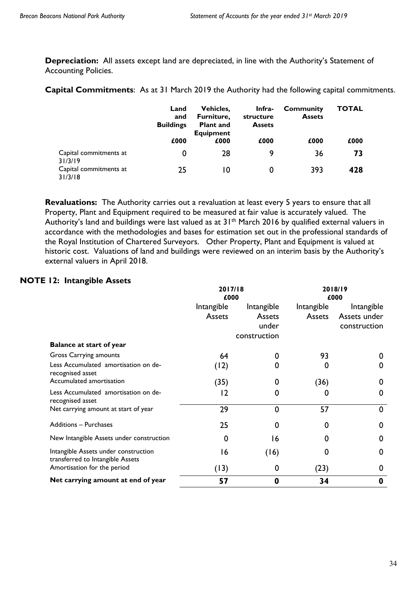**Depreciation:** All assets except land are depreciated, in line with the Authority's Statement of Accounting Policies.

**Capital Commitments**: As at 31 March 2019 the Authority had the following capital commitments.

|                                              | Land<br>and<br><b>Buildings</b><br>£000 | Vehicles.<br>Furniture,<br><b>Plant and</b><br><b>Equipment</b><br>£000 | Infra-<br>structure<br><b>Assets</b><br>£000 | <b>Community</b><br><b>Assets</b><br>£000 | TOTAL<br>£000 |
|----------------------------------------------|-----------------------------------------|-------------------------------------------------------------------------|----------------------------------------------|-------------------------------------------|---------------|
| Capital commitments at                       | 0                                       | 28                                                                      | 9                                            | 36                                        | 73            |
| 31/3/19<br>Capital commitments at<br>31/3/18 | 25                                      | 10                                                                      | 0                                            | 393                                       | 428           |

**Revaluations:** The Authority carries out a revaluation at least every 5 years to ensure that all Property, Plant and Equipment required to be measured at fair value is accurately valued. The Authority's land and buildings were last valued as at 31<sup>th</sup> March 2016 by qualified external valuers in accordance with the methodologies and bases for estimation set out in the professional standards of the Royal Institution of Chartered Surveyors. Other Property, Plant and Equipment is valued at historic cost. Valuations of land and buildings were reviewed on an interim basis by the Authority's external valuers in April 2018.

## **NOTE 12: Intangible Assets**

|                                                                          | 2017/18<br>£000 |              | 2018/19<br>£000 |              |
|--------------------------------------------------------------------------|-----------------|--------------|-----------------|--------------|
|                                                                          | Intangible      | Intangible   | Intangible      | Intangible   |
|                                                                          | Assets          | Assets       | Assets          | Assets under |
|                                                                          |                 | under        |                 | construction |
|                                                                          |                 | construction |                 |              |
| <b>Balance at start of year</b>                                          |                 |              |                 |              |
| Gross Carrying amounts                                                   | 64              | 0            | 93              | 0            |
| Less Accumulated amortisation on de-<br>recognised asset                 | (12)            | 0            | 0               | 0            |
| Accumulated amortisation                                                 | (35)            | 0            | (36)            | 0            |
| Less Accumulated amortisation on de-<br>recognised asset                 | 12              | $\Omega$     | 0               | 0            |
| Net carrying amount at start of year                                     | 29              | $\mathbf 0$  | 57              | $\mathbf 0$  |
| <b>Additions - Purchases</b>                                             | 25              | 0            |                 | 0            |
| New Intangible Assets under construction                                 |                 | 16           |                 | 0            |
| Intangible Assets under construction<br>transferred to Intangible Assets | 16              | (16)         |                 | 0            |
| Amortisation for the period                                              | (13)            | 0            | (23)            | 0            |
| Net carrying amount at end of year                                       | 57              | 0            | 34              | 0            |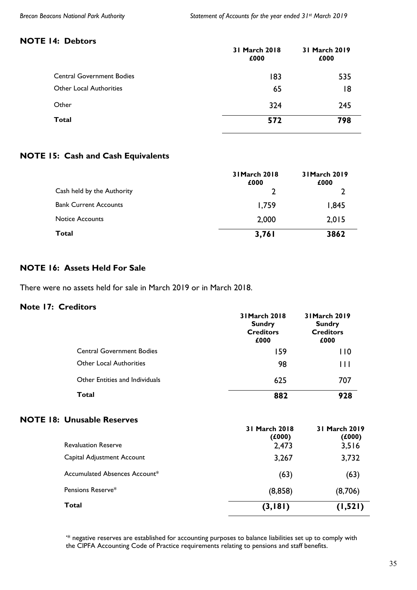#### **NOTE 14: Debtors**

|                                  | 31 March 2018<br>£000 | 31 March 2019<br>£000 |
|----------------------------------|-----------------------|-----------------------|
| <b>Central Government Bodies</b> | 183                   | 535                   |
| <b>Other Local Authorities</b>   | 65                    | 18                    |
| Other                            | 324                   | 245                   |
| <b>Total</b>                     | 572                   | 798                   |

## **NOTE 15: Cash and Cash Equivalents**

|                              | 31 March 2018<br>£000 | 31 March 2019<br>£000 |
|------------------------------|-----------------------|-----------------------|
| Cash held by the Authority   |                       |                       |
| <b>Bank Current Accounts</b> | 1,759                 | 1,845                 |
| <b>Notice Accounts</b>       | 2,000                 | 2,015                 |
| <b>Total</b>                 | 3,761                 | 3862                  |

## **NOTE 16: Assets Held For Sale**

There were no assets held for sale in March 2019 or in March 2018.

#### **Note 17: Creditors**

|                                   | 31 March 2018<br><b>Sundry</b><br><b>Creditors</b><br>£000 | 31 March 2019<br><b>Sundry</b><br><b>Creditors</b><br>£000 |
|-----------------------------------|------------------------------------------------------------|------------------------------------------------------------|
| <b>Central Government Bodies</b>  | 159                                                        | 110                                                        |
| Other Local Authorities           | 98                                                         | Ш                                                          |
| Other Entities and Individuals    | 625                                                        | 707                                                        |
| Total                             | 882                                                        | 928                                                        |
| <b>NOTE 18: Unusable Reserves</b> | 31 March 2018<br>$\lambda$ . $\lambda$                     | 31 March 2019<br>$\lambda$ . $\lambda$                     |

|                               | (£000)  | (£000)   |
|-------------------------------|---------|----------|
| <b>Revaluation Reserve</b>    | 2,473   | 3,516    |
| Capital Adjustment Account    | 3,267   | 3,732    |
| Accumulated Absences Account* | (63)    | (63)     |
| Pensions Reserve*             | (8,858) | (8,706)  |
| Total                         | (3,181) | (1, 521) |

'\* negative reserves are established for accounting purposes to balance liabilities set up to comply with the CIPFA Accounting Code of Practice requirements relating to pensions and staff benefits.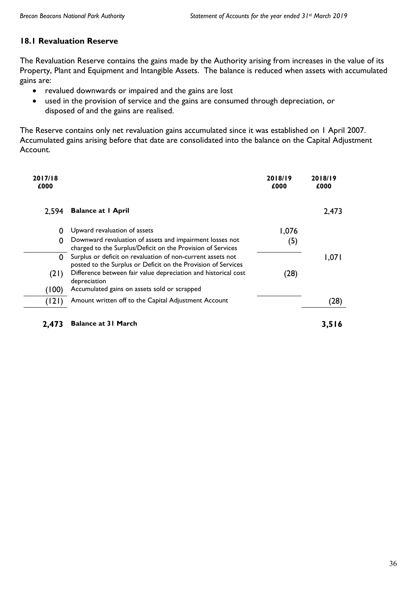## **18.1 Revaluation Reserve**

The Revaluation Reserve contains the gains made by the Authority arising from increases in the value of its Property, Plant and Equipment and Intangible Assets. The balance is reduced when assets with accumulated gains are:

- revalued downwards or impaired and the gains are lost
- used in the provision of service and the gains are consumed through depreciation, or disposed of and the gains are realised.

The Reserve contains only net revaluation gains accumulated since it was established on 1 April 2007. Accumulated gains arising before that date are consolidated into the balance on the Capital Adjustment Account.

| 2017/18<br>£000 |                                                                                                                              | 2018/19<br>£000 | 2018/19<br>£000 |
|-----------------|------------------------------------------------------------------------------------------------------------------------------|-----------------|-----------------|
| 2.594           | <b>Balance at I April</b>                                                                                                    |                 | 2,473           |
| 0               | Upward revaluation of assets                                                                                                 | 1,076           |                 |
| 0               | Downward revaluation of assets and impairment losses not<br>charged to the Surplus/Deficit on the Provision of Services      | (5)             |                 |
| 0               | Surplus or deficit on revaluation of non-current assets not<br>posted to the Surplus or Deficit on the Provision of Services |                 | 1,071           |
| (21)            | Difference between fair value depreciation and historical cost<br>depreciation                                               | (28)            |                 |
| (100)           | Accumulated gains on assets sold or scrapped                                                                                 |                 |                 |
| (121)           | Amount written off to the Capital Adjustment Account                                                                         |                 | (28)            |
|                 |                                                                                                                              |                 |                 |

**2,473 Balance at 31 March 3,516**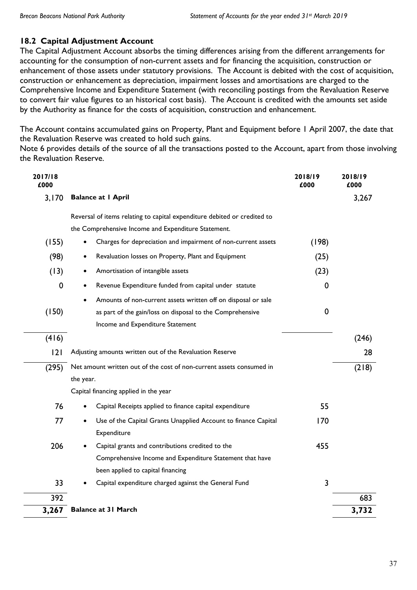## **18.2 Capital Adjustment Account**

The Capital Adjustment Account absorbs the timing differences arising from the different arrangements for accounting for the consumption of non-current assets and for financing the acquisition, construction or enhancement of those assets under statutory provisions. The Account is debited with the cost of acquisition, construction or enhancement as depreciation, impairment losses and amortisations are charged to the Comprehensive Income and Expenditure Statement (with reconciling postings from the Revaluation Reserve to convert fair value figures to an historical cost basis). The Account is credited with the amounts set aside by the Authority as finance for the costs of acquisition, construction and enhancement.

The Account contains accumulated gains on Property, Plant and Equipment before 1 April 2007, the date that the Revaluation Reserve was created to hold such gains.

Note 6 provides details of the source of all the transactions posted to the Account, apart from those involving the Revaluation Reserve.

| 2017/18<br>£000 |                                                                          | 2018/19<br>£000 | 2018/19<br>£000 |
|-----------------|--------------------------------------------------------------------------|-----------------|-----------------|
| 3,170           | <b>Balance at I April</b>                                                |                 | 3,267           |
|                 | Reversal of items relating to capital expenditure debited or credited to |                 |                 |
|                 | the Comprehensive Income and Expenditure Statement.                      |                 |                 |
| (155)           | Charges for depreciation and impairment of non-current assets            | (198)           |                 |
| (98)            | Revaluation losses on Property, Plant and Equipment                      | (25)            |                 |
| (13)            | Amortisation of intangible assets                                        | (23)            |                 |
| 0               | Revenue Expenditure funded from capital under statute<br>$\bullet$       | 0               |                 |
|                 | Amounts of non-current assets written off on disposal or sale            |                 |                 |
| (150)           | as part of the gain/loss on disposal to the Comprehensive                | 0               |                 |
|                 | Income and Expenditure Statement                                         |                 |                 |
| (416)           |                                                                          |                 | (246)           |
| 2               | Adjusting amounts written out of the Revaluation Reserve                 |                 | 28              |
| (295)           | Net amount written out of the cost of non-current assets consumed in     |                 | (218)           |
|                 | the year.                                                                |                 |                 |
|                 | Capital financing applied in the year                                    |                 |                 |
| 76              | Capital Receipts applied to finance capital expenditure                  | 55              |                 |
| 77              | Use of the Capital Grants Unapplied Account to finance Capital           | 170             |                 |
|                 | Expenditure                                                              |                 |                 |
| 206             | Capital grants and contributions credited to the                         | 455             |                 |
|                 | Comprehensive Income and Expenditure Statement that have                 |                 |                 |
|                 | been applied to capital financing                                        |                 |                 |
| 33              | Capital expenditure charged against the General Fund                     | 3               |                 |
| 392             |                                                                          |                 | 683             |
| 3,267           | <b>Balance at 31 March</b>                                               |                 | 3,732           |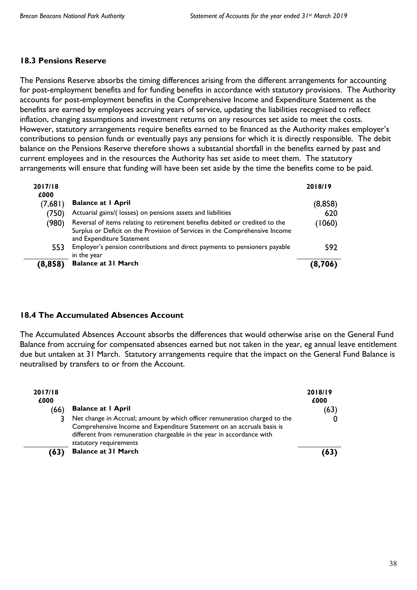## **18.3 Pensions Reserve**

The Pensions Reserve absorbs the timing differences arising from the different arrangements for accounting for post-employment benefits and for funding benefits in accordance with statutory provisions. The Authority accounts for post-employment benefits in the Comprehensive Income and Expenditure Statement as the benefits are earned by employees accruing years of service, updating the liabilities recognised to reflect inflation, changing assumptions and investment returns on any resources set aside to meet the costs. However, statutory arrangements require benefits earned to be financed as the Authority makes employer's contributions to pension funds or eventually pays any pensions for which it is directly responsible. The debit balance on the Pensions Reserve therefore shows a substantial shortfall in the benefits earned by past and current employees and in the resources the Authority has set aside to meet them. The statutory arrangements will ensure that funding will have been set aside by the time the benefits come to be paid.

| 2017/18<br>£000 |                                                                                                                                                                                          | 2018/19 |
|-----------------|------------------------------------------------------------------------------------------------------------------------------------------------------------------------------------------|---------|
| (7,681)         | <b>Balance at I April</b>                                                                                                                                                                | (8,858) |
| (750)           | Actuarial gains/(losses) on pensions assets and liabilities                                                                                                                              | 620     |
| (980)           | Reversal of items relating to retirement benefits debited or credited to the<br>Surplus or Deficit on the Provision of Services in the Comprehensive Income<br>and Expenditure Statement | (1060)  |
| 553             | Employer's pension contributions and direct payments to pensioners payable<br>in the year                                                                                                | 592     |
| (8, 858)        | <b>Balance at 31 March</b>                                                                                                                                                               | (8,706) |

## **18.4 The Accumulated Absences Account**

The Accumulated Absences Account absorbs the differences that would otherwise arise on the General Fund Balance from accruing for compensated absences earned but not taken in the year, eg annual leave entitlement due but untaken at 31 March. Statutory arrangements require that the impact on the General Fund Balance is neutralised by transfers to or from the Account.

| 2017/18<br>£000<br>(66) | <b>Balance at I April</b>                                                                                                                                                                                                                               | 2018/19<br>£000<br>(63) |
|-------------------------|---------------------------------------------------------------------------------------------------------------------------------------------------------------------------------------------------------------------------------------------------------|-------------------------|
|                         | Net change in Accrual; amount by which officer remuneration charged to the<br>Comprehensive Income and Expenditure Statement on an accruals basis is<br>different from remuneration chargeable in the year in accordance with<br>statutory requirements |                         |
| (63)                    | <b>Balance at 31 March</b>                                                                                                                                                                                                                              | (63)                    |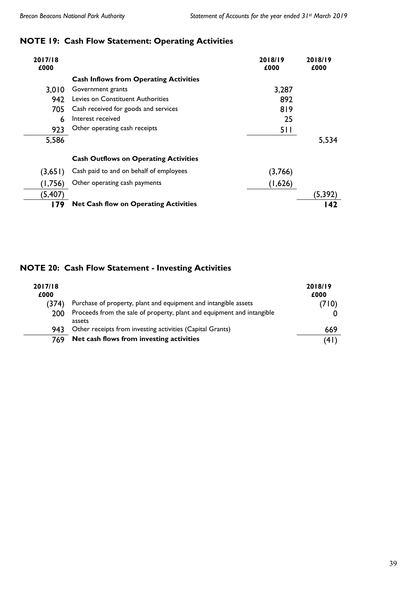## **NOTE 19: Cash Flow Statement: Operating Activities**

| 2017/18<br>£000 |                                               | 2018/19<br>£000 | 2018/19<br>£000 |
|-----------------|-----------------------------------------------|-----------------|-----------------|
|                 | <b>Cash Inflows from Operating Activities</b> |                 |                 |
| 3,010           | Government grants                             | 3,287           |                 |
| 942             | Levies on Constituent Authorities             | 892             |                 |
| 705             | Cash received for goods and services          | 819             |                 |
| 6               | Interest received                             | 25              |                 |
| 923             | Other operating cash receipts                 | 511             |                 |
| 5,586           |                                               |                 | 5,534           |
|                 | <b>Cash Outflows on Operating Activities</b>  |                 |                 |
| (3,651)         | Cash paid to and on behalf of employees       | (3,766)         |                 |
| (1,756)         | Other operating cash payments                 | (1,626)         |                 |
| (5,407)         |                                               |                 | (5, 392)        |
| l 79            | <b>Net Cash flow on Operating Activities</b>  |                 | l 42            |

## **NOTE 20: Cash Flow Statement - Investing Activities**

| 2017/18<br>£000 |                                                                                  | 2018/19<br>£000 |
|-----------------|----------------------------------------------------------------------------------|-----------------|
| (374)           | Purchase of property, plant and equipment and intangible assets                  | (710)           |
| 200             | Proceeds from the sale of property, plant and equipment and intangible<br>assets |                 |
| 943.            | Other receipts from investing activities (Capital Grants)                        | 669             |
| 769             | Net cash flows from investing activities                                         | 4١)             |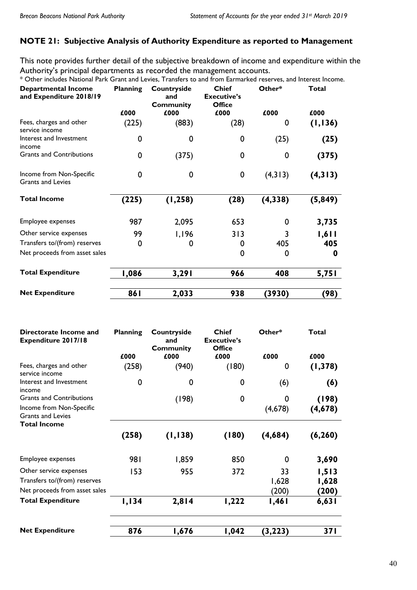## **NOTE 21: Subjective Analysis of Authority Expenditure as reported to Management**

This note provides further detail of the subjective breakdown of income and expenditure within the Authority's principal departments as recorded the management accounts.

\* Other includes National Park Grant and Levies, Transfers to and from Earmarked reserves, and Interest Income.

| <b>Departmental Income</b><br>and Expenditure 2018/19 | <b>Planning</b> | Countryside<br>and<br><b>Community</b> | <b>Chief</b><br><b>Executive's</b><br><b>Office</b> | Other*      | <b>Total</b> |
|-------------------------------------------------------|-----------------|----------------------------------------|-----------------------------------------------------|-------------|--------------|
|                                                       | £000            | £000                                   | £000                                                | £000        | £000         |
| Fees, charges and other<br>service income             | (225)           | (883)                                  | (28)                                                | 0           | (1,136)      |
| Interest and Investment<br>income                     | 0               | 0                                      | 0                                                   | (25)        | (25)         |
| <b>Grants and Contributions</b>                       | $\mathbf 0$     | (375)                                  | 0                                                   | 0           | (375)        |
| Income from Non-Specific<br>Grants and Levies         | $\mathbf 0$     | 0                                      | $\boldsymbol{0}$                                    | (4,313)     | (4,313)      |
| <b>Total Income</b>                                   | (225)           | (1, 258)                               | (28)                                                | (4,338)     | (5,849)      |
| Employee expenses                                     | 987             | 2,095                                  | 653                                                 | $\mathbf 0$ | 3,735        |
| Other service expenses                                | 99              | 1,196                                  | 313                                                 | 3           | 1,611        |
| Transfers to/(from) reserves                          | 0               | 0                                      | O                                                   | 405         | 405          |
| Net proceeds from asset sales                         |                 |                                        | 0                                                   | 0           | 0            |
| <b>Total Expenditure</b>                              | 1,086           | 3,291                                  | 966                                                 | 408         | 5,751        |
| <b>Net Expenditure</b>                                | 86 I            | 2,033                                  | 938                                                 | (3930)      | (98)         |

| Directorate Income and<br>Expenditure 2017/18        | <b>Planning</b> | Countryside<br>and<br><b>Community</b> | <b>Chief</b><br><b>Executive's</b><br><b>Office</b> | Other*   | <b>Total</b> |
|------------------------------------------------------|-----------------|----------------------------------------|-----------------------------------------------------|----------|--------------|
|                                                      | £000            | £000                                   | £000                                                | £000     | £000         |
| Fees, charges and other<br>service income            | (258)           | (940)                                  | (180)                                               | 0        | (1, 378)     |
| Interest and Investment<br>income                    | 0               | 0                                      | 0                                                   | (6)      | (6)          |
| <b>Grants and Contributions</b>                      |                 | (198)                                  | $\mathbf 0$                                         | 0        | (198)        |
| Income from Non-Specific<br><b>Grants and Levies</b> |                 |                                        |                                                     | (4,678)  | (4,678)      |
| <b>Total Income</b>                                  |                 |                                        |                                                     |          |              |
|                                                      | (258)           | (1,138)                                | (180)                                               | (4,684)  | (6, 260)     |
| Employee expenses                                    | 981             | 1,859                                  | 850                                                 | 0        | 3,690        |
| Other service expenses                               | 153             | 955                                    | 372                                                 | 33       | 1,513        |
| Transfers to/(from) reserves                         |                 |                                        |                                                     | 1,628    | 1,628        |
| Net proceeds from asset sales                        |                 |                                        |                                                     | (200)    | (200)        |
| <b>Total Expenditure</b>                             | 1,134           | 2,814                                  | 1,222                                               | 1,461    | 6,631        |
| <b>Net Expenditure</b>                               | 876             | 1,676                                  | 1,042                                               | (3, 223) | 37 I         |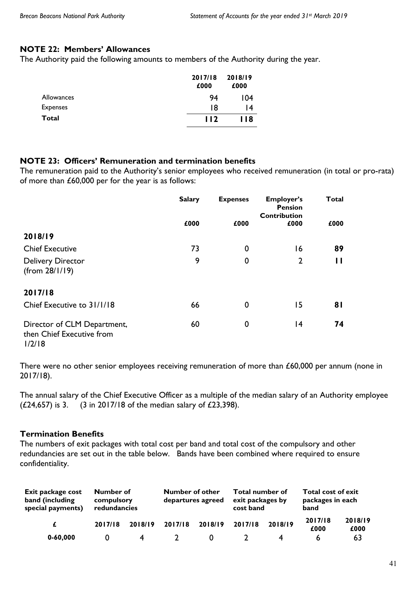## **NOTE 22: Members' Allowances**

The Authority paid the following amounts to members of the Authority during the year.

|                 | 2017/18<br>£000 | 2018/19<br>£000 |
|-----------------|-----------------|-----------------|
| Allowances      | 94              | 104             |
| <b>Expenses</b> | 18              | 14              |
| Total           | 112             | 118             |

## **NOTE 23: Officers' Remuneration and termination benefits**

The remuneration paid to the Authority's senior employees who received remuneration (in total or pro-rata) of more than £60,000 per for the year is as follows:

|                                                                    | <b>Salary</b> | <b>Expenses</b> | <b>Employer's</b><br><b>Pension</b> | <b>Total</b> |
|--------------------------------------------------------------------|---------------|-----------------|-------------------------------------|--------------|
|                                                                    | £000          | £000            | <b>Contribution</b><br>£000         | £000         |
| 2018/19                                                            |               |                 |                                     |              |
| <b>Chief Executive</b>                                             | 73            | 0               | 16                                  | 89           |
| <b>Delivery Director</b><br>(from 28/1/19)                         | 9             | 0               | $\overline{2}$                      | П            |
| 2017/18                                                            |               |                 |                                     |              |
| Chief Executive to 31/1/18                                         | 66            | 0               | 15                                  | 81           |
| Director of CLM Department,<br>then Chief Executive from<br>1/2/18 | 60            | 0               | 14                                  | 74           |

There were no other senior employees receiving remuneration of more than £60,000 per annum (none in 2017/18).

The annual salary of the Chief Executive Officer as a multiple of the median salary of an Authority employee ( $\angle$ 24,657) is 3. (3 in 2017/18 of the median salary of  $\angle$ 23,398).

## **Termination Benefits**

The numbers of exit packages with total cost per band and total cost of the compulsory and other redundancies are set out in the table below. Bands have been combined where required to ensure confidentiality.

| Exit package cost<br>band (including<br>special payments) | Number of<br>compulsory<br>redundancies |         | <b>Number of other</b> | departures agreed | Total number of<br>exit packages by<br>cost band |         | Total cost of exit<br>packages in each<br>band |                 |
|-----------------------------------------------------------|-----------------------------------------|---------|------------------------|-------------------|--------------------------------------------------|---------|------------------------------------------------|-----------------|
| £                                                         | 2017/18                                 | 2018/19 | 2017/18                | 2018/19           | 2017/18                                          | 2018/19 | 2017/18<br>£000                                | 2018/19<br>£000 |
| $0 - 60,000$                                              |                                         |         |                        |                   |                                                  |         |                                                | 63              |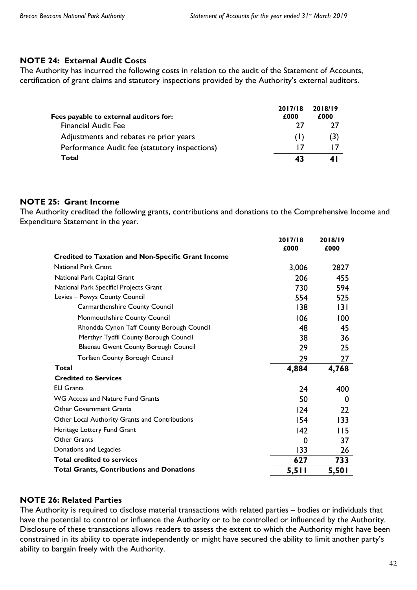## **NOTE 24: External Audit Costs**

The Authority has incurred the following costs in relation to the audit of the Statement of Accounts, certification of grant claims and statutory inspections provided by the Authority's external auditors.

|                                               | 2017/18 | 2018/19 |
|-----------------------------------------------|---------|---------|
| Fees payable to external auditors for:        | £000    | £000    |
| <b>Financial Audit Fee</b>                    | 77      |         |
| Adjustments and rebates re prior years        |         | (3)     |
| Performance Audit fee (statutory inspections) |         |         |
| Total                                         | 43      | 41      |

## **NOTE 25: Grant Income**

The Authority credited the following grants, contributions and donations to the Comprehensive Income and Expenditure Statement in the year.

|                                                           | 2017/18<br>£000 | 2018/19<br>£000 |
|-----------------------------------------------------------|-----------------|-----------------|
| <b>Credited to Taxation and Non-Specific Grant Income</b> |                 |                 |
| <b>National Park Grant</b>                                | 3,006           | 2827            |
| National Park Capital Grant                               | 206             | 455             |
| National Park Specificl Projects Grant                    | 730             | 594             |
| Levies - Powys County Council                             | 554             | 525             |
| Carmarthenshire County Council                            | 138             | 3               |
| Monmouthshire County Council                              | 106             | 100             |
| Rhondda Cynon Taff County Borough Council                 | 48              | 45              |
| Merthyr Tydfil County Borough Council                     | 38              | 36              |
| Blaenau Gwent County Borough Council                      | 29              | 25              |
| Torfaen County Borough Council                            | 29              | 27              |
| Total                                                     | 4,884           | 4,768           |
| <b>Credited to Services</b>                               |                 |                 |
| <b>EU Grants</b>                                          | 24              | 400             |
| WG Access and Nature Fund Grants                          | 50              | 0               |
| <b>Other Government Grants</b>                            | 124             | 22              |
| Other Local Authority Grants and Contributions            | 154             | 133             |
| Heritage Lottery Fund Grant                               | $ 42\rangle$    | 115             |
| Other Grants                                              | 0               | 37              |
| Donations and Legacies                                    | 133             | 26              |
| <b>Total credited to services</b>                         | 627             | 733             |
| <b>Total Grants, Contributions and Donations</b>          | 5,511           | 5,501           |

## **NOTE 26: Related Parties**

The Authority is required to disclose material transactions with related parties – bodies or individuals that have the potential to control or influence the Authority or to be controlled or influenced by the Authority. Disclosure of these transactions allows readers to assess the extent to which the Authority might have been constrained in its ability to operate independently or might have secured the ability to limit another party's ability to bargain freely with the Authority.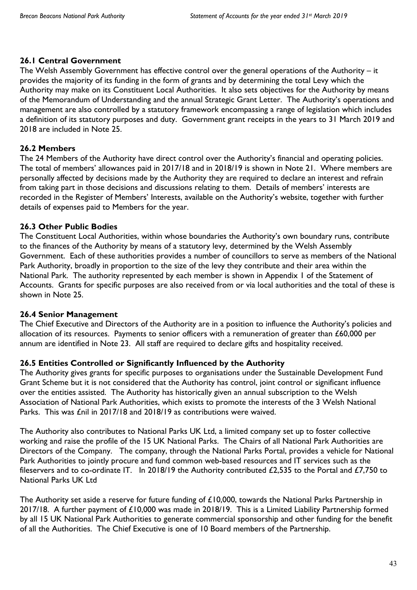## **26.1 Central Government**

The Welsh Assembly Government has effective control over the general operations of the Authority – it provides the majority of its funding in the form of grants and by determining the total Levy which the Authority may make on its Constituent Local Authorities. It also sets objectives for the Authority by means of the Memorandum of Understanding and the annual Strategic Grant Letter. The Authority's operations and management are also controlled by a statutory framework encompassing a range of legislation which includes a definition of its statutory purposes and duty. Government grant receipts in the years to 31 March 2019 and 2018 are included in Note 25.

## **26.2 Members**

The 24 Members of the Authority have direct control over the Authority's financial and operating policies. The total of members' allowances paid in 2017/18 and in 2018/19 is shown in Note 21. Where members are personally affected by decisions made by the Authority they are required to declare an interest and refrain from taking part in those decisions and discussions relating to them. Details of members' interests are recorded in the Register of Members' Interests, available on the Authority's website, together with further details of expenses paid to Members for the year.

## **26.3 Other Public Bodies**

The Constituent Local Authorities, within whose boundaries the Authority's own boundary runs, contribute to the finances of the Authority by means of a statutory levy, determined by the Welsh Assembly Government. Each of these authorities provides a number of councillors to serve as members of the National Park Authority, broadly in proportion to the size of the levy they contribute and their area within the National Park. The authority represented by each member is shown in Appendix 1 of the Statement of Accounts. Grants for specific purposes are also received from or via local authorities and the total of these is shown in Note 25.

## **26.4 Senior Management**

The Chief Executive and Directors of the Authority are in a position to influence the Authority's policies and allocation of its resources. Payments to senior officers with a remuneration of greater than £60,000 per annum are identified in Note 23. All staff are required to declare gifts and hospitality received.

## **26.5 Entities Controlled or Significantly Influenced by the Authority**

The Authority gives grants for specific purposes to organisations under the Sustainable Development Fund Grant Scheme but it is not considered that the Authority has control, joint control or significant influence over the entities assisted. The Authority has historically given an annual subscription to the Welsh Association of National Park Authorities, which exists to promote the interests of the 3 Welsh National Parks. This was £nil in 2017/18 and 2018/19 as contributions were waived.

The Authority also contributes to National Parks UK Ltd, a limited company set up to foster collective working and raise the profile of the 15 UK National Parks. The Chairs of all National Park Authorities are Directors of the Company. The company, through the National Parks Portal, provides a vehicle for National Park Authorities to jointly procure and fund common web-based resources and IT services such as the fileservers and to co-ordinate IT. In 2018/19 the Authority contributed £2,535 to the Portal and £7,750 to National Parks UK Ltd

The Authority set aside a reserve for future funding of £10,000, towards the National Parks Partnership in 2017/18. A further payment of £10,000 was made in 2018/19. This is a Limited Liability Partnership formed by all 15 UK National Park Authorities to generate commercial sponsorship and other funding for the benefit of all the Authorities. The Chief Executive is one of 10 Board members of the Partnership.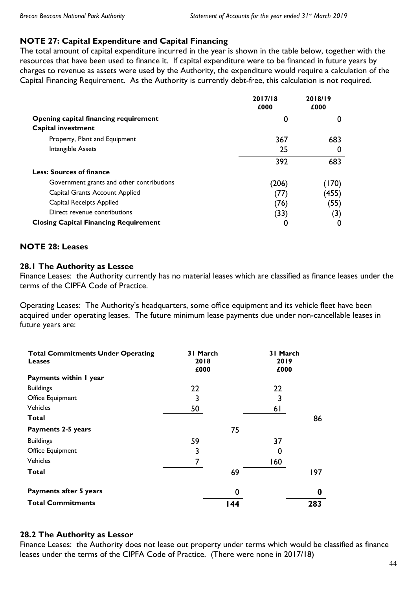## **NOTE 27: Capital Expenditure and Capital Financing**

The total amount of capital expenditure incurred in the year is shown in the table below, together with the resources that have been used to finance it. If capital expenditure were to be financed in future years by charges to revenue as assets were used by the Authority, the expenditure would require a calculation of the Capital Financing Requirement. As the Authority is currently debt-free, this calculation is not required.

|                                              | 2017/18<br>£000 | 2018/19<br>£000 |
|----------------------------------------------|-----------------|-----------------|
| Opening capital financing requirement        | 0               | 0               |
| Capital investment                           |                 |                 |
| Property, Plant and Equipment                | 367             | 683             |
| Intangible Assets                            | 25              | 0               |
|                                              | 392             | 683             |
| <b>Less: Sources of finance</b>              |                 |                 |
| Government grants and other contributions    | (206)           | 70)             |
| Capital Grants Account Applied               | $\prime\prime$  | (455)           |
| Capital Receipts Applied                     | (76)            | (55)            |
| Direct revenue contributions                 | (33)            | (3)             |
| <b>Closing Capital Financing Requirement</b> | 0               | 0               |

## **NOTE 28: Leases**

## **28.1 The Authority as Lessee**

Finance Leases: the Authority currently has no material leases which are classified as finance leases under the terms of the CIPFA Code of Practice.

Operating Leases: The Authority's headquarters, some office equipment and its vehicle fleet have been acquired under operating leases. The future minimum lease payments due under non-cancellable leases in future years are:

| <b>Total Commitments Under Operating</b><br><b>Leases</b> | 31 March<br>2018<br>£000 | 31 March<br>2019<br>£000 |     |
|-----------------------------------------------------------|--------------------------|--------------------------|-----|
| Payments within I year                                    |                          |                          |     |
| <b>Buildings</b>                                          | 22                       | 22                       |     |
| Office Equipment                                          | 3                        | 3                        |     |
| <b>Vehicles</b>                                           | 50                       | 61                       |     |
| Total                                                     |                          |                          | 86  |
| Payments 2-5 years                                        | 75                       |                          |     |
| <b>Buildings</b>                                          | 59                       | 37                       |     |
| Office Equipment                                          | 3                        | 0                        |     |
| <b>Vehicles</b>                                           | 7                        | 160                      |     |
| Total                                                     | 69                       |                          | 197 |
| Payments after 5 years                                    | 0                        |                          | 0   |
| <b>Total Commitments</b>                                  | l 44                     |                          | 283 |

## **28.2 The Authority as Lessor**

Finance Leases: the Authority does not lease out property under terms which would be classified as finance leases under the terms of the CIPFA Code of Practice. (There were none in 2017/18)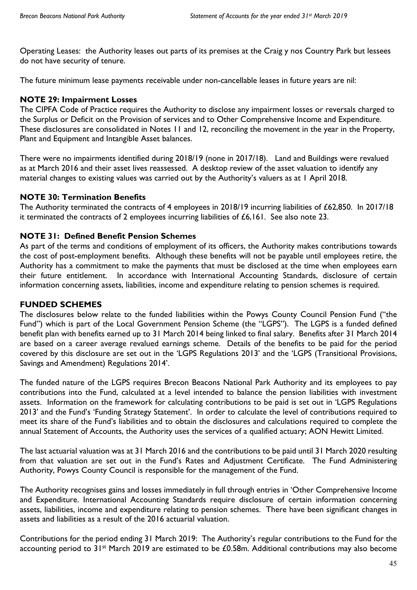Operating Leases:the Authority leases out parts of its premises at the Craig y nos Country Park but lessees do not have security of tenure.

The future minimum lease payments receivable under non-cancellable leases in future years are nil:

## **NOTE 29: Impairment Losses**

The CIPFA Code of Practice requires the Authority to disclose any impairment losses or reversals charged to the Surplus or Deficit on the Provision of services and to Other Comprehensive Income and Expenditure. These disclosures are consolidated in Notes 11 and 12, reconciling the movement in the year in the Property, Plant and Equipment and Intangible Asset balances.

There were no impairments identified during 2018/19 (none in 2017/18). Land and Buildings were revalued as at March 2016 and their asset lives reassessed. A desktop review of the asset valuation to identify any material changes to existing values was carried out by the Authority's valuers as at 1 April 2018.

## **NOTE 30: Termination Benefits**

The Authority terminated the contracts of 4 employees in 2018/19 incurring liabilities of £62,850. In 2017/18 it terminated the contracts of 2 employees incurring liabilities of £6,161. See also note 23.

## **NOTE 31: Defined Benefit Pension Schemes**

As part of the terms and conditions of employment of its officers, the Authority makes contributions towards the cost of post-employment benefits. Although these benefits will not be payable until employees retire, the Authority has a commitment to make the payments that must be disclosed at the time when employees earn their future entitlement. In accordance with International Accounting Standards, disclosure of certain information concerning assets, liabilities, income and expenditure relating to pension schemes is required.

## **FUNDED SCHEMES**

The disclosures below relate to the funded liabilities within the Powys County Council Pension Fund ("the Fund") which is part of the Local Government Pension Scheme (the "LGPS"). The LGPS is a funded defined benefit plan with benefits earned up to 31 March 2014 being linked to final salary. Benefits after 31 March 2014 are based on a career average revalued earnings scheme. Details of the benefits to be paid for the period covered by this disclosure are set out in the 'LGPS Regulations 2013' and the 'LGPS (Transitional Provisions, Savings and Amendment) Regulations 2014'.

The funded nature of the LGPS requires Brecon Beacons National Park Authority and its employees to pay contributions into the Fund, calculated at a level intended to balance the pension liabilities with investment assets. Information on the framework for calculating contributions to be paid is set out in 'LGPS Regulations 2013' and the Fund's 'Funding Strategy Statement'. In order to calculate the level of contributions required to meet its share of the Fund's liabilities and to obtain the disclosures and calculations required to complete the annual Statement of Accounts, the Authority uses the services of a qualified actuary; AON Hewitt Limited.

The last actuarial valuation was at 31 March 2016 and the contributions to be paid until 31 March 2020 resulting from that valuation are set out in the Fund's Rates and Adjustment Certificate. The Fund Administering Authority, Powys County Council is responsible for the management of the Fund.

The Authority recognises gains and losses immediately in full through entries in 'Other Comprehensive Income and Expenditure. International Accounting Standards require disclosure of certain information concerning assets, liabilities, income and expenditure relating to pension schemes. There have been significant changes in assets and liabilities as a result of the 2016 actuarial valuation.

Contributions for the period ending 31 March 2019:The Authority's regular contributions to the Fund for the accounting period to 31<sup>st</sup> March 2019 are estimated to be £0.58m. Additional contributions may also become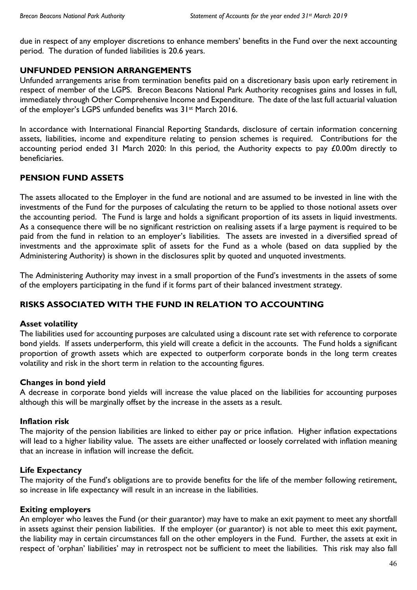due in respect of any employer discretions to enhance members' benefits in the Fund over the next accounting period. The duration of funded liabilities is 20.6 years.

## **UNFUNDED PENSION ARRANGEMENTS**

Unfunded arrangements arise from termination benefits paid on a discretionary basis upon early retirement in respect of member of the LGPS. Brecon Beacons National Park Authority recognises gains and losses in full, immediately through Other Comprehensive Income and Expenditure. The date of the last full actuarial valuation of the employer's LGPS unfunded benefits was 31<sup>st</sup> March 2016.

In accordance with International Financial Reporting Standards, disclosure of certain information concerning assets, liabilities, income and expenditure relating to pension schemes is required. Contributions for the accounting period ended 31 March 2020: In this period, the Authority expects to pay £0.00m directly to beneficiaries.

## **PENSION FUND ASSETS**

The assets allocated to the Employer in the fund are notional and are assumed to be invested in line with the investments of the Fund for the purposes of calculating the return to be applied to those notional assets over the accounting period. The Fund is large and holds a significant proportion of its assets in liquid investments. As a consequence there will be no significant restriction on realising assets if a large payment is required to be paid from the fund in relation to an employer's liabilities. The assets are invested in a diversified spread of investments and the approximate split of assets for the Fund as a whole (based on data supplied by the Administering Authority) is shown in the disclosures split by quoted and unquoted investments.

The Administering Authority may invest in a small proportion of the Fund's investments in the assets of some of the employers participating in the fund if it forms part of their balanced investment strategy.

## **RISKS ASSOCIATED WITH THE FUND IN RELATION TO ACCOUNTING**

## **Asset volatility**

The liabilities used for accounting purposes are calculated using a discount rate set with reference to corporate bond yields. If assets underperform, this yield will create a deficit in the accounts. The Fund holds a significant proportion of growth assets which are expected to outperform corporate bonds in the long term creates volatility and risk in the short term in relation to the accounting figures.

## **Changes in bond yield**

A decrease in corporate bond yields will increase the value placed on the liabilities for accounting purposes although this will be marginally offset by the increase in the assets as a result.

## **Inflation risk**

The majority of the pension liabilities are linked to either pay or price inflation. Higher inflation expectations will lead to a higher liability value. The assets are either unaffected or loosely correlated with inflation meaning that an increase in inflation will increase the deficit.

## **Life Expectancy**

The majority of the Fund's obligations are to provide benefits for the life of the member following retirement, so increase in life expectancy will result in an increase in the liabilities.

## **Exiting employers**

An employer who leaves the Fund (or their guarantor) may have to make an exit payment to meet any shortfall in assets against their pension liabilities. If the employer (or guarantor) is not able to meet this exit payment, the liability may in certain circumstances fall on the other employers in the Fund. Further, the assets at exit in respect of 'orphan' liabilities' may in retrospect not be sufficient to meet the liabilities. This risk may also fall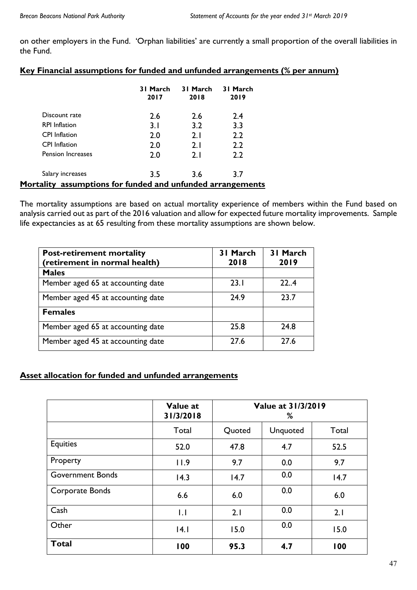on other employers in the Fund. 'Orphan liabilities' are currently a small proportion of the overall liabilities in the Fund.

| Key Financial assumptions for funded and unfunded arrangements (% per annum) |
|------------------------------------------------------------------------------|
|------------------------------------------------------------------------------|

|                                                            | 31 March<br>2017 | 31 March<br>2018 | 31 March<br>2019 |  |  |
|------------------------------------------------------------|------------------|------------------|------------------|--|--|
| Discount rate                                              | 2.6              | 2.6              | 2.4              |  |  |
| <b>RPI</b> Inflation                                       | 3.1              | 3.2              | 3.3              |  |  |
| <b>CPI</b> Inflation                                       | 2.0              | 2.1              | 2.2              |  |  |
| <b>CPI</b> Inflation                                       | 2.0              | 2.1              | 2.2              |  |  |
| <b>Pension Increases</b>                                   | 2.0              | 2.1              | 2.2              |  |  |
| Salary increases                                           | 3.5              | 3.6              | 3.7              |  |  |
| Mortality assumptions for funded and unfunded arrangements |                  |                  |                  |  |  |

The mortality assumptions are based on actual mortality experience of members within the Fund based on analysis carried out as part of the 2016 valuation and allow for expected future mortality improvements. Sample life expectancies as at 65 resulting from these mortality assumptions are shown below.

| <b>Post-retirement mortality</b><br>(retirement in normal health) | 31 March<br>2018 | 31 March<br>2019 |
|-------------------------------------------------------------------|------------------|------------------|
| <b>Males</b>                                                      |                  |                  |
| Member aged 65 at accounting date                                 | 23.1             | 22.4             |
| Member aged 45 at accounting date                                 | 24.9             | 23.7             |
| <b>Females</b>                                                    |                  |                  |
| Member aged 65 at accounting date                                 | 25.8             | 24.8             |
| Member aged 45 at accounting date                                 | 27.6             | 27.6             |

## **Asset allocation for funded and unfunded arrangements**

|                         | Value at<br>31/3/2018 | Value at 31/3/2019<br>% |                 |       |
|-------------------------|-----------------------|-------------------------|-----------------|-------|
|                         | Total                 | Quoted                  | <b>Unquoted</b> | Total |
| Equities                | 52.0                  | 47.8                    | 4.7             | 52.5  |
| Property                | 11.9                  | 9.7                     | 0.0             | 9.7   |
| <b>Government Bonds</b> | 14.3                  | 14.7                    | 0.0             | 14.7  |
| Corporate Bonds         | 6.6                   | 6.0                     | 0.0             | 6.0   |
| Cash                    | $\overline{L}$        | 2.1                     | 0.0             | 2.1   |
| Other                   | 4.1                   | 15.0                    | 0.0             | 15.0  |
| <b>Total</b>            | 100                   | 95.3                    | 4.7             | 100   |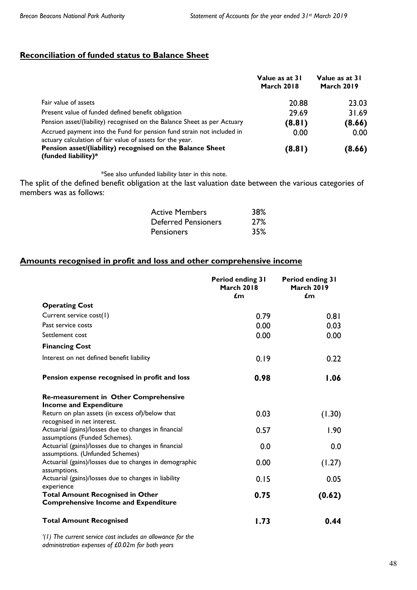## **Reconciliation of funded status to Balance Sheet**

|                                                                                                                                    | Value as at 31<br><b>March 2018</b> | Value as at 31<br><b>March 2019</b> |
|------------------------------------------------------------------------------------------------------------------------------------|-------------------------------------|-------------------------------------|
| Fair value of assets                                                                                                               | 20.88                               | 23.03                               |
| Present value of funded defined benefit obligation                                                                                 | 29.69                               | 31.69                               |
| Pension asset/(liability) recognised on the Balance Sheet as per Actuary                                                           | (8.81)                              | (8.66)                              |
| Accrued payment into the Fund for pension fund strain not included in<br>actuary calculation of fair value of assets for the year. | 0.00                                | 0.00                                |
| Pension asset/(liability) recognised on the Balance Sheet<br>(funded liability)*                                                   | (8.81)                              | (8.66)                              |

\*See also unfunded liability later in this note.

The split of the defined benefit obligation at the last valuation date between the various categories of members was as follows:

| <b>Active Members</b>      | 38%        |
|----------------------------|------------|
| <b>Deferred Pensioners</b> | <b>27%</b> |
| <b>Pensioners</b>          | 35%        |

## **Amounts recognised in profit and loss and other comprehensive income**

|                                                                                         | Period ending 31<br><b>March 2018</b><br>$\mathbf{f}$ m | Period ending 31<br><b>March 2019</b><br>$\epsilon$ m |
|-----------------------------------------------------------------------------------------|---------------------------------------------------------|-------------------------------------------------------|
| <b>Operating Cost</b>                                                                   |                                                         |                                                       |
| Current service cost(1)                                                                 | 0.79                                                    | 0.81                                                  |
| Past service costs                                                                      | 0.00                                                    | 0.03                                                  |
| Settlement cost                                                                         | 0.00                                                    | 0.00                                                  |
| <b>Financing Cost</b>                                                                   |                                                         |                                                       |
| Interest on net defined benefit liability                                               | 0.19                                                    | 0.22                                                  |
| Pension expense recognised in profit and loss                                           | 0.98                                                    | 1.06                                                  |
| Re-measurement in Other Comprehensive                                                   |                                                         |                                                       |
| <b>Income and Expenditure</b><br>Return on plan assets (in excess of)/below that        | 0.03                                                    | (1.30)                                                |
| recognised in net interest.                                                             |                                                         |                                                       |
| Actuarial (gains)/losses due to changes in financial                                    | 0.57                                                    | 1.90                                                  |
| assumptions (Funded Schemes).                                                           |                                                         |                                                       |
| Actuarial (gains)/losses due to changes in financial<br>assumptions. (Unfunded Schemes) | 0.0                                                     | 0.0                                                   |
| Actuarial (gains)/losses due to changes in demographic<br>assumptions.                  | 0.00                                                    | (1.27)                                                |
| Actuarial (gains)/losses due to changes in liability                                    | 0.15                                                    | 0.05                                                  |
| experience                                                                              |                                                         |                                                       |
| <b>Total Amount Recognised in Other</b><br><b>Comprehensive Income and Expenditure</b>  | 0.75                                                    | (0.62)                                                |
| <b>Total Amount Recognised</b>                                                          | 1.73                                                    | 0.44                                                  |
| $\cdots$                                                                                |                                                         |                                                       |

*'(1) The current service cost includes an allowance for the administration expenses of £0.02m for both years*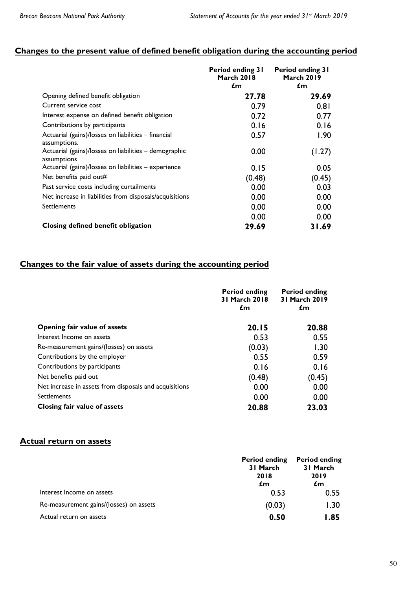## **Changes to the present value of defined benefit obligation during the accounting period**

|                                                                      | <b>Period ending 31</b><br><b>March 2018</b><br>£m | Period ending 31<br><b>March 2019</b><br>£m |
|----------------------------------------------------------------------|----------------------------------------------------|---------------------------------------------|
| Opening defined benefit obligation                                   | 27.78                                              | 29.69                                       |
| Current service cost                                                 | 0.79                                               | 0.81                                        |
| Interest expense on defined benefit obligation                       | 0.72                                               | 0.77                                        |
| Contributions by participants                                        | 0.16                                               | 0.16                                        |
| Actuarial (gains)/losses on liabilities – financial<br>assumptions.  | 0.57                                               | 1.90                                        |
| Actuarial (gains)/losses on liabilities - demographic<br>assumptions | 0.00                                               | (1.27)                                      |
| Actuarial (gains)/losses on liabilities - experience                 | 0.15                                               | 0.05                                        |
| Net benefits paid out#                                               | (0.48)                                             | (0.45)                                      |
| Past service costs including curtailments                            | 0.00                                               | 0.03                                        |
| Net increase in liabilities from disposals/acquisitions              | 0.00                                               | 0.00                                        |
| Settlements                                                          | 0.00                                               | 0.00                                        |
|                                                                      | 0.00                                               | 0.00                                        |
| Closing defined benefit obligation                                   | 29.69                                              | 31.69                                       |

## **Changes to the fair value of assets during the accounting period**

|                                                        | <b>Period ending</b><br>31 March 2018<br>£m | <b>Period ending</b><br>31 March 2019<br>£m |
|--------------------------------------------------------|---------------------------------------------|---------------------------------------------|
| Opening fair value of assets                           | 20.15                                       | 20.88                                       |
| Interest Income on assets                              | 0.53                                        | 0.55                                        |
| Re-measurement gains/(losses) on assets                | (0.03)                                      | 1.30                                        |
| Contributions by the employer                          | 0.55                                        | 0.59                                        |
| Contributions by participants                          | 0.16                                        | 0.16                                        |
| Net benefits paid out                                  | (0.48)                                      | (0.45)                                      |
| Net increase in assets from disposals and acquisitions | 0.00                                        | 0.00                                        |
| Settlements                                            | 0.00                                        | 0.00                                        |
| Closing fair value of assets                           | 20.88                                       | 23.03                                       |

#### **Actual return on assets**

|                                         | <b>Period ending</b><br>31 March<br>2018<br>£m | <b>Period ending</b><br>31 March<br>2019<br>£m |
|-----------------------------------------|------------------------------------------------|------------------------------------------------|
| Interest Income on assets               | 0.53                                           | 0.55                                           |
| Re-measurement gains/(losses) on assets | (0.03)                                         | 1.30                                           |
| Actual return on assets                 | 0.50                                           | 1.85                                           |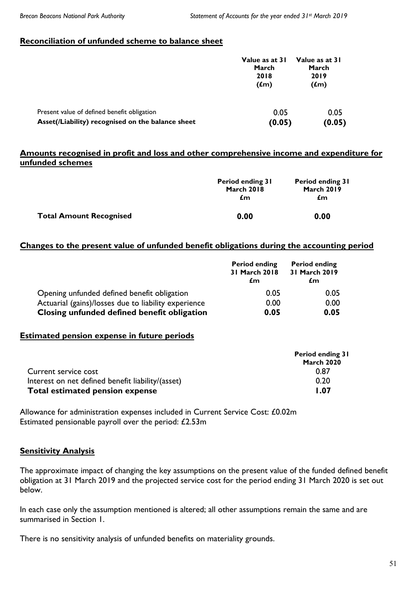## **Reconciliation of unfunded scheme to balance sheet**

|                                                   | Value as at 31<br>March<br>2018<br>(f <sub>m</sub> ) | Value as at 31<br>March<br>2019<br>$(f_m)$ |  |
|---------------------------------------------------|------------------------------------------------------|--------------------------------------------|--|
| Present value of defined benefit obligation       | 0.05                                                 | 0.05                                       |  |
| Asset(/Liability) recognised on the balance sheet | (0.05)                                               | (0.05)                                     |  |

### **Amounts recognised in profit and loss and other comprehensive income and expenditure for unfunded schemes**

|                                | <b>Period ending 31</b><br><b>March 2018</b><br>£m | Period ending 31<br><b>March 2019</b><br>£m |  |
|--------------------------------|----------------------------------------------------|---------------------------------------------|--|
| <b>Total Amount Recognised</b> | 0.00                                               | 0.00                                        |  |

## **Changes to the present value of unfunded benefit obligations during the accounting period**

|                                                      | <b>Period ending</b><br>31 March 2018<br>£m | <b>Period ending</b><br>31 March 2019<br>£m |  |
|------------------------------------------------------|---------------------------------------------|---------------------------------------------|--|
| Opening unfunded defined benefit obligation          | 0.05                                        | 0.05                                        |  |
| Actuarial (gains)/losses due to liability experience | 0.00                                        | 0.00                                        |  |
| Closing unfunded defined benefit obligation          | 0.05                                        | 0.05                                        |  |

#### **Estimated pension expense in future periods**

|                                                   | Period ending 31<br><b>March 2020</b> |
|---------------------------------------------------|---------------------------------------|
|                                                   |                                       |
| Current service cost                              | 0.87                                  |
| Interest on net defined benefit liability/(asset) | 0.20                                  |
| Total estimated pension expense                   | 1.07                                  |

Allowance for administration expenses included in Current Service Cost: £0.02m Estimated pensionable payroll over the period: £2.53m

## **Sensitivity Analysis**

The approximate impact of changing the key assumptions on the present value of the funded defined benefit obligation at 31 March 2019 and the projected service cost for the period ending 31 March 2020 is set out below.

In each case only the assumption mentioned is altered; all other assumptions remain the same and are summarised in Section 1.

There is no sensitivity analysis of unfunded benefits on materiality grounds.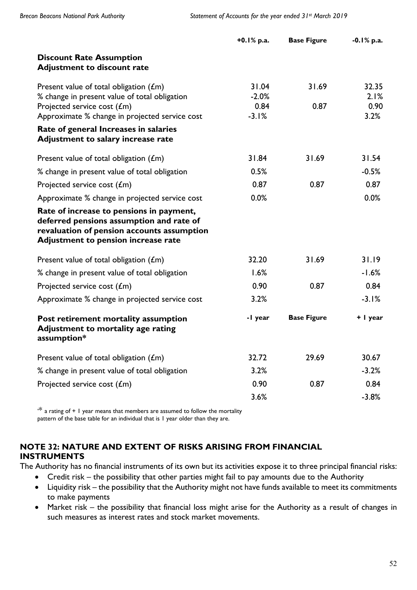|                                                                                                                                                                           | $+0.1\%$ p.a.    | <b>Base Figure</b> | $-0.1\%$ p.a. |
|---------------------------------------------------------------------------------------------------------------------------------------------------------------------------|------------------|--------------------|---------------|
| <b>Discount Rate Assumption</b><br><b>Adjustment to discount rate</b>                                                                                                     |                  |                    |               |
| Present value of total obligation $(fm)$<br>% change in present value of total obligation                                                                                 | 31.04<br>$-2.0%$ | 31.69              | 32.35<br>2.1% |
| Projected service cost $(fm)$<br>Approximate % change in projected service cost                                                                                           | 0.84<br>$-3.1%$  | 0.87               | 0.90<br>3.2%  |
| Rate of general Increases in salaries<br>Adjustment to salary increase rate                                                                                               |                  |                    |               |
| Present value of total obligation $(fm)$                                                                                                                                  | 31.84            | 31.69              | 31.54         |
| % change in present value of total obligation                                                                                                                             | 0.5%             |                    | $-0.5%$       |
| Projected service cost $(fm)$                                                                                                                                             | 0.87             | 0.87               | 0.87          |
| Approximate % change in projected service cost                                                                                                                            | 0.0%             |                    | 0.0%          |
| Rate of increase to pensions in payment,<br>deferred pensions assumption and rate of<br>revaluation of pension accounts assumption<br>Adjustment to pension increase rate |                  |                    |               |
| Present value of total obligation $(fm)$                                                                                                                                  | 32.20            | 31.69              | 31.19         |
| % change in present value of total obligation                                                                                                                             | 1.6%             |                    | $-1.6%$       |
| Projected service cost $(fm)$                                                                                                                                             | 0.90             | 0.87               | 0.84          |
| Approximate % change in projected service cost                                                                                                                            | 3.2%             |                    | $-3.1%$       |
| Post retirement mortality assumption<br>Adjustment to mortality age rating<br>assumption*                                                                                 | -I year          | <b>Base Figure</b> | + I year      |
| Present value of total obligation $(fm)$                                                                                                                                  | 32.72            | 29.69              | 30.67         |
| % change in present value of total obligation                                                                                                                             | 3.2%             |                    | $-3.2%$       |
| Projected service cost $(fm)$                                                                                                                                             | 0.90             | 0.87               | 0.84          |
|                                                                                                                                                                           | 3.6%             |                    | $-3.8%$       |

 $\cdot^*$  a rating of + 1 year means that members are assumed to follow the mortality pattern of the base table for an individual that is 1 year older than they are.

## **NOTE 32: NATURE AND EXTENT OF RISKS ARISING FROM FINANCIAL INSTRUMENTS**

The Authority has no financial instruments of its own but its activities expose it to three principal financial risks:

- Credit risk the possibility that other parties might fail to pay amounts due to the Authority
- Liquidity risk the possibility that the Authority might not have funds available to meet its commitments to make payments
- Market risk the possibility that financial loss might arise for the Authority as a result of changes in such measures as interest rates and stock market movements.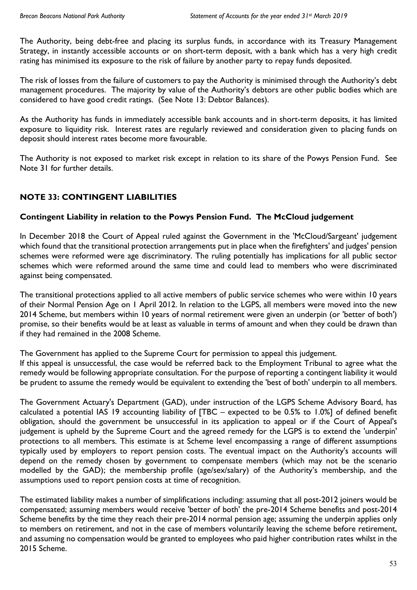The Authority, being debt-free and placing its surplus funds, in accordance with its Treasury Management Strategy, in instantly accessible accounts or on short-term deposit, with a bank which has a very high credit rating has minimised its exposure to the risk of failure by another party to repay funds deposited.

The risk of losses from the failure of customers to pay the Authority is minimised through the Authority's debt management procedures. The majority by value of the Authority's debtors are other public bodies which are considered to have good credit ratings. (See Note 13: Debtor Balances).

As the Authority has funds in immediately accessible bank accounts and in short-term deposits, it has limited exposure to liquidity risk. Interest rates are regularly reviewed and consideration given to placing funds on deposit should interest rates become more favourable.

The Authority is not exposed to market risk except in relation to its share of the Powys Pension Fund. See Note 31 for further details.

## **NOTE 33: CONTINGENT LIABILITIES**

## **Contingent Liability in relation to the Powys Pension Fund. The McCloud judgement**

In December 2018 the Court of Appeal ruled against the Government in the 'McCloud/Sargeant' judgement which found that the transitional protection arrangements put in place when the firefighters' and judges' pension schemes were reformed were age discriminatory. The ruling potentially has implications for all public sector schemes which were reformed around the same time and could lead to members who were discriminated against being compensated.

The transitional protections applied to all active members of public service schemes who were within 10 years of their Normal Pension Age on 1 April 2012. In relation to the LGPS, all members were moved into the new 2014 Scheme, but members within 10 years of normal retirement were given an underpin (or 'better of both') promise, so their benefits would be at least as valuable in terms of amount and when they could be drawn than if they had remained in the 2008 Scheme.

The Government has applied to the Supreme Court for permission to appeal this judgement.

If this appeal is unsuccessful, the case would be referred back to the Employment Tribunal to agree what the remedy would be following appropriate consultation. For the purpose of reporting a contingent liability it would be prudent to assume the remedy would be equivalent to extending the 'best of both' underpin to all members.

The Government Actuary's Department (GAD), under instruction of the LGPS Scheme Advisory Board, has calculated a potential IAS 19 accounting liability of [TBC – expected to be 0.5% to 1.0%] of defined benefit obligation, should the government be unsuccessful in its application to appeal or if the Court of Appeal's judgement is upheld by the Supreme Court and the agreed remedy for the LGPS is to extend the 'underpin' protections to all members. This estimate is at Scheme level encompassing a range of different assumptions typically used by employers to report pension costs. The eventual impact on the Authority's accounts will depend on the remedy chosen by government to compensate members (which may not be the scenario modelled by the GAD); the membership profile (age/sex/salary) of the Authority's membership, and the assumptions used to report pension costs at time of recognition.

The estimated liability makes a number of simplifications including: assuming that all post-2012 joiners would be compensated; assuming members would receive 'better of both' the pre-2014 Scheme benefits and post-2014 Scheme benefits by the time they reach their pre-2014 normal pension age; assuming the underpin applies only to members on retirement, and not in the case of members voluntarily leaving the scheme before retirement, and assuming no compensation would be granted to employees who paid higher contribution rates whilst in the 2015 Scheme.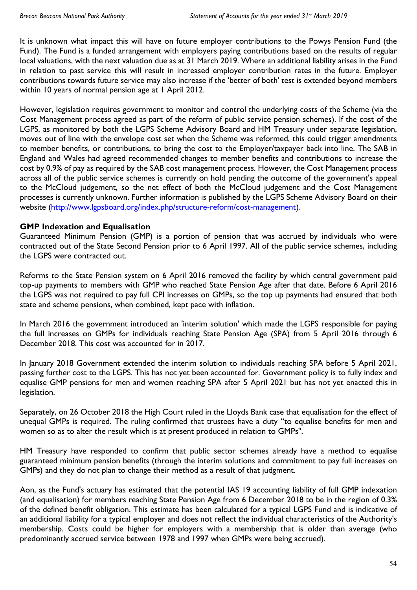It is unknown what impact this will have on future employer contributions to the Powys Pension Fund (the Fund). The Fund is a funded arrangement with employers paying contributions based on the results of regular local valuations, with the next valuation due as at 31 March 2019. Where an additional liability arises in the Fund in relation to past service this will result in increased employer contribution rates in the future. Employer contributions towards future service may also increase if the 'better of both' test is extended beyond members within 10 years of normal pension age at 1 April 2012.

However, legislation requires government to monitor and control the underlying costs of the Scheme (via the Cost Management process agreed as part of the reform of public service pension schemes). If the cost of the LGPS, as monitored by both the LGPS Scheme Advisory Board and HM Treasury under separate legislation, moves out of line with the envelope cost set when the Scheme was reformed, this could trigger amendments to member benefits, or contributions, to bring the cost to the Employer/taxpayer back into line. The SAB in England and Wales had agreed recommended changes to member benefits and contributions to increase the cost by 0.9% of pay as required by the SAB cost management process. However, the Cost Management process across all of the public service schemes is currently on hold pending the outcome of the government's appeal to the McCloud judgement, so the net effect of both the McCloud judgement and the Cost Management processes is currently unknown. Further information is published by the LGPS Scheme Advisory Board on their website (<http://www.lgpsboard.org/index.php/structure-reform/cost-management>).

## **GMP Indexation and Equalisation**

Guaranteed Minimum Pension (GMP) is a portion of pension that was accrued by individuals who were contracted out of the State Second Pension prior to 6 April 1997. All of the public service schemes, including the LGPS were contracted out.

Reforms to the State Pension system on 6 April 2016 removed the facility by which central government paid top-up payments to members with GMP who reached State Pension Age after that date. Before 6 April 2016 the LGPS was not required to pay full CPI increases on GMPs, so the top up payments had ensured that both state and scheme pensions, when combined, kept pace with inflation.

In March 2016 the government introduced an 'interim solution' which made the LGPS responsible for paying the full increases on GMPs for individuals reaching State Pension Age (SPA) from 5 April 2016 through 6 December 2018. This cost was accounted for in 2017.

In January 2018 Government extended the interim solution to individuals reaching SPA before 5 April 2021, passing further cost to the LGPS. This has not yet been accounted for. Government policy is to fully index and equalise GMP pensions for men and women reaching SPA after 5 April 2021 but has not yet enacted this in legislation.

Separately, on 26 October 2018 the High Court ruled in the Lloyds Bank case that equalisation for the effect of unequal GMPs is required. The ruling confirmed that trustees have a duty "to equalise benefits for men and women so as to alter the result which is at present produced in relation to GMPs".

HM Treasury have responded to confirm that public sector schemes already have a method to equalise guaranteed minimum pension benefits (through the interim solutions and commitment to pay full increases on GMPs) and they do not plan to change their method as a result of that judgment.

Aon, as the Fund's actuary has estimated that the potential IAS 19 accounting liability of full GMP indexation (and equalisation) for members reaching State Pension Age from 6 December 2018 to be in the region of 0.3% of the defined benefit obligation. This estimate has been calculated for a typical LGPS Fund and is indicative of an additional liability for a typical employer and does not reflect the individual characteristics of the Authority's membership. Costs could be higher for employers with a membership that is older than average (who predominantly accrued service between 1978 and 1997 when GMPs were being accrued).